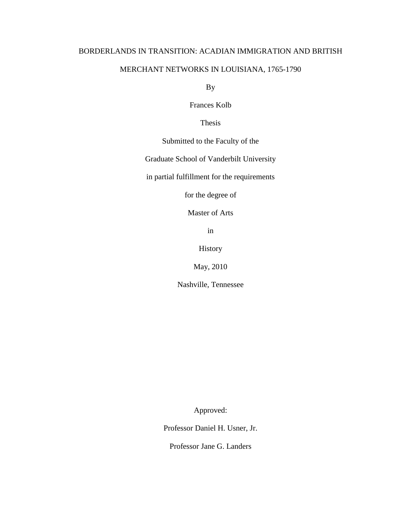# BORDERLANDS IN TRANSITION: ACADIAN IMMIGRATION AND BRITISH

# MERCHANT NETWORKS IN LOUISIANA, 1765-1790

By

Frances Kolb

Thesis

Submitted to the Faculty of the

Graduate School of Vanderbilt University

in partial fulfillment for the requirements

for the degree of

Master of Arts

in

History

May, 2010

Nashville, Tennessee

Approved:

Professor Daniel H. Usner, Jr.

Professor Jane G. Landers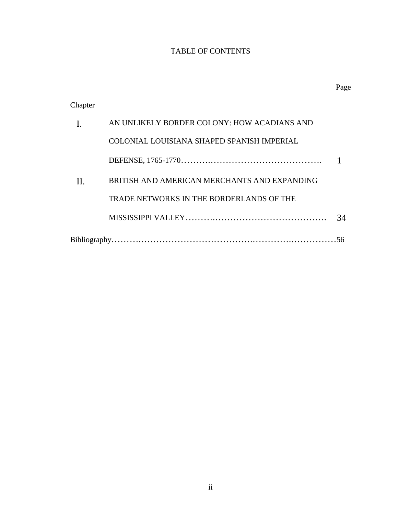# TABLE OF CONTENTS

|         |                                              | Page |
|---------|----------------------------------------------|------|
| Chapter |                                              |      |
| I.      | AN UNLIKELY BORDER COLONY: HOW ACADIANS AND  |      |
|         | COLONIAL LOUISIANA SHAPED SPANISH IMPERIAL   |      |
|         |                                              |      |
| Н.      | BRITISH AND AMERICAN MERCHANTS AND EXPANDING |      |
|         | TRADE NETWORKS IN THE BORDERLANDS OF THE     |      |
|         |                                              | 34   |
|         |                                              |      |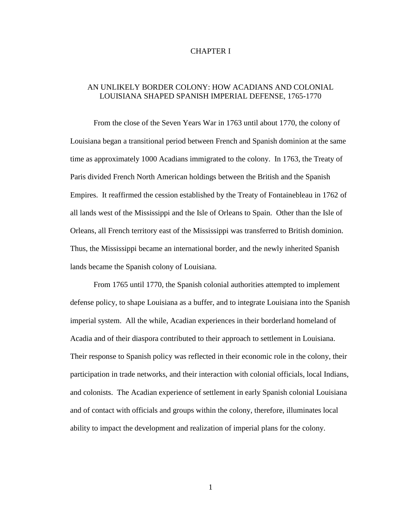### CHAPTER I

## AN UNLIKELY BORDER COLONY: HOW ACADIANS AND COLONIAL LOUISIANA SHAPED SPANISH IMPERIAL DEFENSE, 1765-1770

From the close of the Seven Years War in 1763 until about 1770, the colony of Louisiana began a transitional period between French and Spanish dominion at the same time as approximately 1000 Acadians immigrated to the colony. In 1763, the Treaty of Paris divided French North American holdings between the British and the Spanish Empires. It reaffirmed the cession established by the Treaty of Fontainebleau in 1762 of all lands west of the Mississippi and the Isle of Orleans to Spain. Other than the Isle of Orleans, all French territory east of the Mississippi was transferred to British dominion. Thus, the Mississippi became an international border, and the newly inherited Spanish lands became the Spanish colony of Louisiana.

From 1765 until 1770, the Spanish colonial authorities attempted to implement defense policy, to shape Louisiana as a buffer, and to integrate Louisiana into the Spanish imperial system. All the while, Acadian experiences in their borderland homeland of Acadia and of their diaspora contributed to their approach to settlement in Louisiana. Their response to Spanish policy was reflected in their economic role in the colony, their participation in trade networks, and their interaction with colonial officials, local Indians, and colonists. The Acadian experience of settlement in early Spanish colonial Louisiana and of contact with officials and groups within the colony, therefore, illuminates local ability to impact the development and realization of imperial plans for the colony.

1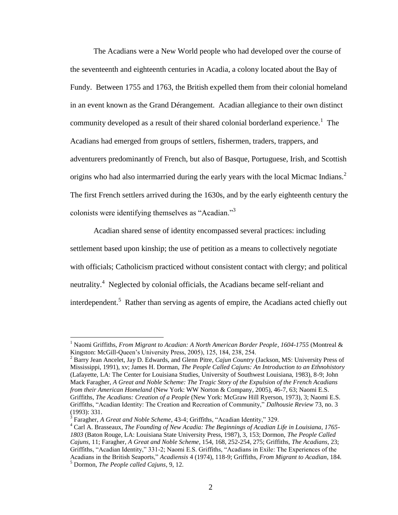The Acadians were a New World people who had developed over the course of the seventeenth and eighteenth centuries in Acadia, a colony located about the Bay of Fundy. Between 1755 and 1763, the British expelled them from their colonial homeland in an event known as the Grand Dérangement. Acadian allegiance to their own distinct community developed as a result of their shared colonial borderland experience.<sup>1</sup> The Acadians had emerged from groups of settlers, fishermen, traders, trappers, and adventurers predominantly of French, but also of Basque, Portuguese, Irish, and Scottish origins who had also intermarried during the early years with the local Micmac Indians.<sup>2</sup> The first French settlers arrived during the 1630s, and by the early eighteenth century the colonists were identifying themselves as "Acadian."<sup>3</sup>

Acadian shared sense of identity encompassed several practices: including settlement based upon kinship; the use of petition as a means to collectively negotiate with officials; Catholicism practiced without consistent contact with clergy; and political neutrality.<sup>4</sup> Neglected by colonial officials, the Acadians became self-reliant and interdependent.<sup>5</sup> Rather than serving as agents of empire, the Acadians acted chiefly out

<sup>1</sup> Naomi Griffiths, *From Migrant to Acadian: A North American Border People*, *1604-1755* (Montreal & Kingston: McGill-Queen"s University Press, 2005), 125, 184, 238, 254.

<sup>2</sup> Barry Jean Ancelet, Jay D. Edwards, and Glenn Pitre, *Cajun Country* (Jackson, MS: University Press of Mississippi, 1991), xv; James H. Dorman, *The People Called Cajuns: An Introduction to an Ethnohistory* (Lafayette, LA: The Center for Louisiana Studies, University of Southwest Louisiana, 1983), 8-9; John Mack Faragher, *A Great and Noble Scheme: The Tragic Story of the Expulsion of the French Acadians from their American Homeland* (New York: WW Norton & Company, 2005), 46-7, 63; Naomi E.S. Griffiths, *The Acadians: Creation of a People* (New York: McGraw Hill Ryerson, 1973), 3; Naomi E.S. Griffiths, "Acadian Identity: The Creation and Recreation of Community," *Dalhousie Review* 73, no. 3 (1993): 331.

<sup>&</sup>lt;sup>3</sup> Faragher, *A Great and Noble Scheme*, 43-4; Griffiths, "Acadian Identity," 329.

<sup>4</sup> Carl A. Brasseaux, *The Founding of New Acadia: The Beginnings of Acadian Life in Louisiana, 1765- 1803* (Baton Rouge, LA: Louisiana State University Press, 1987), 3, 153; Dormon, *The People Called Cajuns*, 11; Faragher, *A Great and Noble Scheme*, 154, 168, 252-254, 275; Griffiths, *The Acadians*, 23; Griffiths, "Acadian Identity," 331-2; Naomi E.S. Griffiths, "Acadians in Exile: The Experiences of the Acadians in the British Seaports," *Acadiensis* 4 (1974), 118-9; Griffiths, *From Migrant to Acadian*, 184. <sup>5</sup> Dormon, *The People called Cajuns*, 9, 12.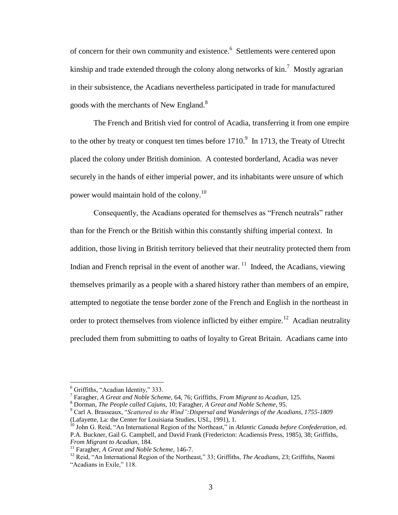of concern for their own community and existence.<sup>6</sup> Settlements were centered upon kinship and trade extended through the colony along networks of  $kin.$ <sup>7</sup> Mostly agrarian in their subsistence, the Acadians nevertheless participated in trade for manufactured goods with the merchants of New England. $8$ 

The French and British vied for control of Acadia, transferring it from one empire to the other by treaty or conquest ten times before  $1710$ .<sup>9</sup> In 1713, the Treaty of Utrecht placed the colony under British dominion. A contested borderland, Acadia was never securely in the hands of either imperial power, and its inhabitants were unsure of which power would maintain hold of the colony.<sup>10</sup>

Consequently, the Acadians operated for themselves as "French neutrals" rather than for the French or the British within this constantly shifting imperial context. In addition, those living in British territory believed that their neutrality protected them from Indian and French reprisal in the event of another war.  $11$  Indeed, the Acadians, viewing themselves primarily as a people with a shared history rather than members of an empire, attempted to negotiate the tense border zone of the French and English in the northeast in order to protect themselves from violence inflicted by either empire.<sup>12</sup> Acadian neutrality precluded them from submitting to oaths of loyalty to Great Britain. Acadians came into

<sup>6</sup> Griffiths, "Acadian Identity," 333.

<sup>7</sup> Faragher, *A Great and Noble Scheme,* 64, 76; Griffiths, *From Migrant to Acadian*, 125.

<sup>8</sup> Dorman, *The People called Cajuns,* 10; Faragher, *A Great and Noble Scheme*, 95.

<sup>9</sup> Carl A. Brasseaux, "*Scattered to the Wind":Dispersal and Wanderings of the Acadians, 1755-1809* (Lafayette, La: the Center for Louisiana Studies, USL, 1991), 1.

<sup>10</sup> John G. Reid, "An International Region of the Northeast," in *Atlantic Canada before Confederation*, ed. P.A. Buckner, Gail G. Campbell, and David Frank (Fredericton: Acadiensis Press, 1985), 38; Griffiths, *From Migrant to Acadian*, 184.

<sup>11</sup> Faragher, *A Great and Noble Scheme*, 146-7.

<sup>12</sup> Reid, "An International Region of the Northeast," 33; Griffiths, *The Acadians*, 23; Griffiths, Naomi "Acadians in Exile," 118.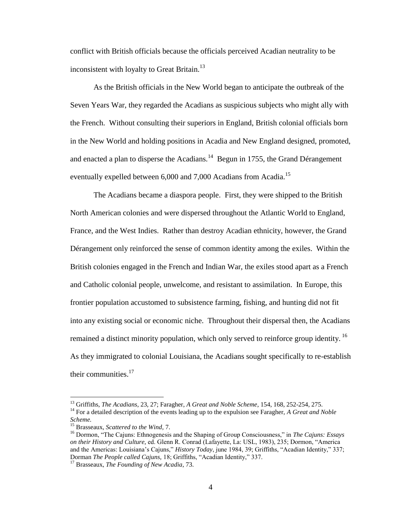conflict with British officials because the officials perceived Acadian neutrality to be inconsistent with loyalty to Great Britain.<sup>13</sup>

As the British officials in the New World began to anticipate the outbreak of the Seven Years War, they regarded the Acadians as suspicious subjects who might ally with the French. Without consulting their superiors in England, British colonial officials born in the New World and holding positions in Acadia and New England designed, promoted, and enacted a plan to disperse the Acadians. $14$  Begun in 1755, the Grand Dérangement eventually expelled between 6,000 and 7,000 Acadians from Acadia.<sup>15</sup>

The Acadians became a diaspora people. First, they were shipped to the British North American colonies and were dispersed throughout the Atlantic World to England, France, and the West Indies. Rather than destroy Acadian ethnicity, however, the Grand Dérangement only reinforced the sense of common identity among the exiles. Within the British colonies engaged in the French and Indian War, the exiles stood apart as a French and Catholic colonial people, unwelcome, and resistant to assimilation. In Europe, this frontier population accustomed to subsistence farming, fishing, and hunting did not fit into any existing social or economic niche. Throughout their dispersal then, the Acadians remained a distinct minority population, which only served to reinforce group identity. <sup>16</sup> As they immigrated to colonial Louisiana, the Acadians sought specifically to re-establish their communities.<sup>17</sup>

<sup>13</sup> Griffiths, *The Acadians*, 23, 27; Faragher, *A Great and Noble Scheme*, 154, 168, 252-254, 275.

<sup>14</sup> For a detailed description of the events leading up to the expulsion see Faragher, *A Great and Noble Scheme.*

<sup>15</sup> Brasseaux, *Scattered to the Wind*, 7.

<sup>16</sup> Dormon, "The Cajuns: Ethnogenesis and the Shaping of Group Consciousness," in *The Cajuns: Essays on their History and Culture,* ed. Glenn R. Conrad (Lafayette, La: USL, 1983), 235; Dormon, "America and the Americas: Louisiana"s Cajuns," *History Today*, june 1984, 39; Griffiths, "Acadian Identity," 337; Dorman *The People called Cajuns,* 18; Griffiths, "Acadian Identity," 337.

<sup>17</sup> Brasseaux, *The Founding of New Acadia*, 73.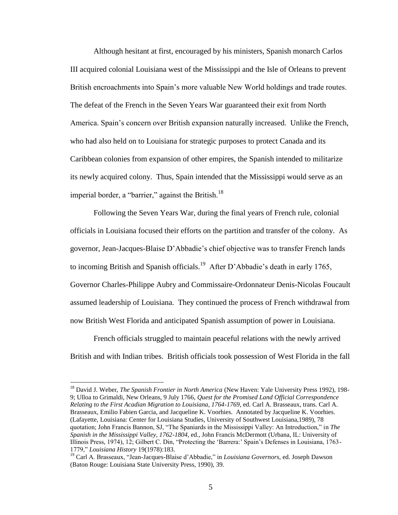Although hesitant at first, encouraged by his ministers, Spanish monarch Carlos III acquired colonial Louisiana west of the Mississippi and the Isle of Orleans to prevent British encroachments into Spain's more valuable New World holdings and trade routes. The defeat of the French in the Seven Years War guaranteed their exit from North America. Spain"s concern over British expansion naturally increased. Unlike the French, who had also held on to Louisiana for strategic purposes to protect Canada and its Caribbean colonies from expansion of other empires, the Spanish intended to militarize its newly acquired colony. Thus, Spain intended that the Mississippi would serve as an imperial border, a "barrier," against the British.<sup>18</sup>

Following the Seven Years War, during the final years of French rule, colonial officials in Louisiana focused their efforts on the partition and transfer of the colony. As governor, Jean-Jacques-Blaise D"Abbadie"s chief objective was to transfer French lands to incoming British and Spanish officials.<sup>19</sup> After D'Abbadie's death in early 1765, Governor Charles-Philippe Aubry and Commissaire-Ordonnateur Denis-Nicolas Foucault assumed leadership of Louisiana. They continued the process of French withdrawal from now British West Florida and anticipated Spanish assumption of power in Louisiana.

French officials struggled to maintain peaceful relations with the newly arrived British and with Indian tribes. British officials took possession of West Florida in the fall

 $\overline{a}$ 

<sup>18</sup> David J. Weber, *The Spanish Frontier in North America* (New Haven: Yale University Press 1992), 198- 9; Ulloa to Grimaldi, New Orleans, 9 July 1766, *Quest for the Promised Land Official Correspondence Relating to the First Acadian Migration to Louisiana, 1764-1769*, ed. Carl A. Brasseaux, trans. Carl A. Brasseaux, Emilio Fabien Garcia, and Jacqueline K. Voorhies. Annotated by Jacqueline K. Voorhies. (Lafayette, Louisiana: Center for Louisiana Studies, University of Southwest Louisiana,1989), 78 quotation; John Francis Bannon, SJ, "The Spaniards in the Mississippi Valley: An Introduction," in *The Spanish in the Mississippi Valley, 1762-1804*, ed., John Francis McDermott (Urbana, IL: University of Illinois Press, 1974), 12; Gilbert C. Din, "Protecting the "Barrera:" Spain"s Defenses in Louisiana, 1763- 1779," *Louisiana History* 19(1978):183.

<sup>19</sup> Carl A. Brasseaux, "Jean-Jacques-Blaise d"Abbadie," in *Louisiana Governors*, ed. Joseph Dawson (Baton Rouge: Louisiana State University Press, 1990), 39.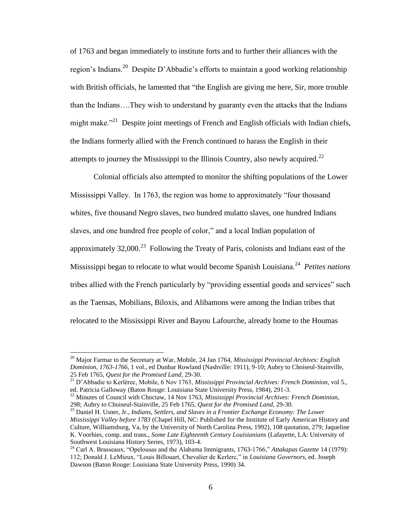of 1763 and began immediately to institute forts and to further their alliances with the region's Indians.<sup>20</sup> Despite D'Abbadie's efforts to maintain a good working relationship with British officials, he lamented that "the English are giving me here, Sir, more trouble than the Indians….They wish to understand by guaranty even the attacks that the Indians might make."<sup>21</sup> Despite joint meetings of French and English officials with Indian chiefs, the Indians formerly allied with the French continued to harass the English in their attempts to journey the Mississippi to the Illinois Country, also newly acquired.<sup>22</sup>

Colonial officials also attempted to monitor the shifting populations of the Lower Mississippi Valley. In 1763, the region was home to approximately "four thousand whites, five thousand Negro slaves, two hundred mulatto slaves, one hundred Indians slaves, and one hundred free people of color," and a local Indian population of approximately  $32,000$ <sup>23</sup> Following the Treaty of Paris, colonists and Indians east of the Mississippi began to relocate to what would become Spanish Louisiana.<sup>24</sup> *Petites nations* tribes allied with the French particularly by "providing essential goods and services" such as the Taensas, Mobilians, Biloxis, and Alibamons were among the Indian tribes that relocated to the Mississippi River and Bayou Lafourche, already home to the Houmas

<sup>20</sup> Major Farmar to the Secretary at War, Mobile, 24 Jan 1764, *Mississippi Provincial Archives: English Dominion, 1763-1766,* 1 vol., ed Dunbar Rowland (Nashville: 1911), 9-10; Aubry to Choiseul-Stainville, 25 Feb 1765, *Quest for the Promised Land*, 29-30.

<sup>21</sup> D"Abbadie to Kerlérec, Mobile, 6 Nov 1763, *Mississippi Provincial Archives: French Dominion*, vol 5., ed. Patricia Galloway (Baton Rouge: Louisiana State University Press, 1984), 291-3.

<sup>22</sup> Minutes of Council with Choctaw, 14 Nov 1763, *Mississippi Provincial Archives: French Dominion*, 298; Aubry to Choiseul-Stainville, 25 Feb 1765, *Quest for the Promised Land,* 29-30.

<sup>&</sup>lt;sup>23</sup> Daniel H. Usner, Jr., *Indians, Settlers, and Slaves in a Frontier Exchange Economy: The Lower Mississippi Valley before 1783* (Chapel Hill, NC: Published for the Institute of Early American History and Culture, Williamsburg, Va, by the University of North Carolina Press, 1992), 108 quotation, 279; Jaqueline K. Voorhies, comp. and trans., *Some Late Eighteenth Century Louisianians* (Lafayette, LA: University of Southwest Louisiana History Series, 1973), 103-4.

<sup>24</sup> Carl A. Brasseaux, "Opelousas and the Alabama Immigrants, 1763-1766," *Attakapas Gazette* 14 (1979): 112; Donald J. LeMieux, "Louis Billouart, Chevalier de Kerlerc," in *Louisiana Governors*, ed. Joseph Dawson (Baton Rouge: Louisiana State University Press, 1990) 34.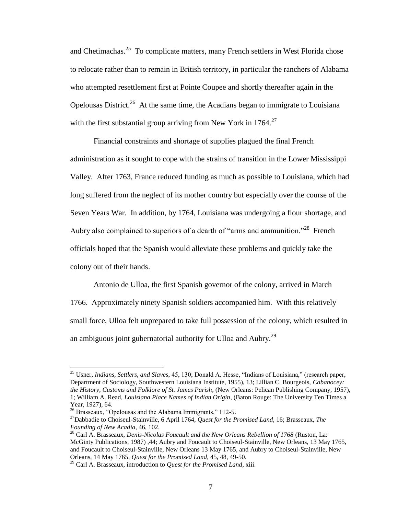and Chetimachas.<sup>25</sup> To complicate matters, many French settlers in West Florida chose to relocate rather than to remain in British territory, in particular the ranchers of Alabama who attempted resettlement first at Pointe Coupee and shortly thereafter again in the Opelousas District.<sup>26</sup> At the same time, the Acadians began to immigrate to Louisiana with the first substantial group arriving from New York in  $1764$ <sup>27</sup>

Financial constraints and shortage of supplies plagued the final French administration as it sought to cope with the strains of transition in the Lower Mississippi Valley. After 1763, France reduced funding as much as possible to Louisiana, which had long suffered from the neglect of its mother country but especially over the course of the Seven Years War. In addition, by 1764, Louisiana was undergoing a flour shortage, and Aubry also complained to superiors of a dearth of "arms and ammunition."<sup>28</sup> French officials hoped that the Spanish would alleviate these problems and quickly take the colony out of their hands.

Antonio de Ulloa, the first Spanish governor of the colony, arrived in March 1766. Approximately ninety Spanish soldiers accompanied him. With this relatively small force, Ulloa felt unprepared to take full possession of the colony, which resulted in an ambiguous joint gubernatorial authority for Ulloa and Aubry.<sup>29</sup>

<sup>25</sup> Usner, *Indians, Settlers, and Slaves*, 45, 130; Donald A. Hesse, "Indians of Louisiana," (research paper, Department of Sociology, Southwestern Louisiana Institute, 1955), 13; Lillian C. Bourgeois, *Cabanocey: the History, Customs and Folklore of St. James Parish*, (New Orleans: Pelican Publishing Company, 1957), 1; William A. Read, *Louisiana Place Names of Indian Origin*, (Baton Rouge: The University Ten Times a Year, 1927), 64.

<sup>&</sup>lt;sup>26</sup> Brasseaux, "Opelousas and the Alabama Immigrants," 112-5.

<sup>27</sup>Dabbadie to Choiseul-Stainville, 6 April 1764, *Quest for the Promised Land,* 16; Brasseaux, *The Founding of New Acadia*, 46, 102.

<sup>28</sup> Carl A. Brasseaux, *Denis-Nicolas Foucault and the New Orleans Rebellion of 1768* (Ruston, La: McGinty Publications, 1987) ,44; Aubry and Foucault to Choiseul-Stainville, New Orleans, 13 May 1765, and Foucault to Choiseul-Stainville, New Orleans 13 May 1765, and Aubry to Choiseul-Stainville, New Orleans, 14 May 1765, *Quest for the Promised Land,* 45, 48, 49-50.

<sup>29</sup> Carl A. Brasseaux, introduction to *Quest for the Promised Land*, xiii.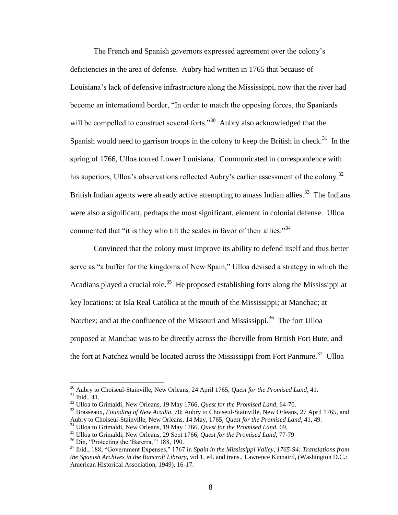The French and Spanish governors expressed agreement over the colony"s deficiencies in the area of defense. Aubry had written in 1765 that because of Louisiana"s lack of defensive infrastructure along the Mississippi, now that the river had become an international border, "In order to match the opposing forces, the Spaniards will be compelled to construct several forts."<sup>30</sup> Aubry also acknowledged that the Spanish would need to garrison troops in the colony to keep the British in check.<sup>31</sup> In the spring of 1766, Ulloa toured Lower Louisiana. Communicated in correspondence with his superiors, Ulloa's observations reflected Aubry's earlier assessment of the colony.<sup>32</sup> British Indian agents were already active attempting to amass Indian allies.<sup>33</sup> The Indians were also a significant, perhaps the most significant, element in colonial defense. Ulloa commented that "it is they who tilt the scales in favor of their allies."<sup>34</sup>

Convinced that the colony must improve its ability to defend itself and thus better serve as "a buffer for the kingdoms of New Spain," Ulloa devised a strategy in which the Acadians played a crucial role.<sup>35</sup> He proposed establishing forts along the Mississippi at key locations: at Isla Real Católica at the mouth of the Mississippi; at Manchac; at Natchez; and at the confluence of the Missouri and Mississippi.<sup>36</sup> The fort Ulloa proposed at Manchac was to be directly across the Iberville from British Fort Bute, and the fort at Natchez would be located across the Mississippi from Fort Panmure.<sup>37</sup> Ulloa

<sup>30</sup> Aubry to Choiseul-Stainville, New Orleans, 24 April 1765, *Quest for the Promised Land*, 41. <sup>31</sup> Ibid., 41.

<sup>32</sup> Ulloa to Grimaldi, New Orleans, 19 May 1766, *Quest for the Promised Land*, 64-70.

<sup>33</sup> Brasseaux, *Founding of New Acadia*, 78; Aubry to Choiseul-Stainville, New Orleans, 27 April 1765, and Aubry to Choiseul-Stainville, New Orleans, 14 May, 1765, *Quest for the Promised Land*, 41, 49.

<sup>34</sup> Ulloa to Grimaldi, New Orleans, 19 May 1766, *Quest for the Promised Land*, 69.

<sup>35</sup> Ulloa to Grimaldi, New Orleans, 29 Sept 1766, *Quest for the Promised Land*, 77-79

<sup>&</sup>lt;sup>36</sup> Din, "Protecting the 'Barerra," 188, 190.

<sup>37</sup> Ibid., 188; "Government Expenses," 1767 in *Spain in the Mississippi Valley, 1765-94: Translations from the Spanish Archives in the Bancroft Library*, vol 1, ed. and trans., Lawrence Kinnaird, (Washington D.C.: American Historical Association, 1949), 16-17.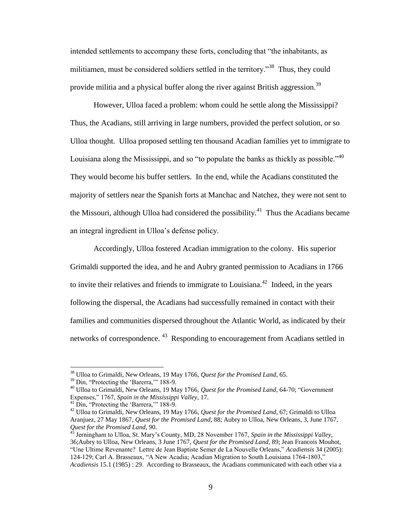intended settlements to accompany these forts, concluding that "the inhabitants, as militiamen, must be considered soldiers settled in the territory."<sup>38</sup> Thus, they could provide militia and a physical buffer along the river against British aggression.<sup>39</sup>

However, Ulloa faced a problem: whom could he settle along the Mississippi? Thus, the Acadians, still arriving in large numbers, provided the perfect solution, or so Ulloa thought. Ulloa proposed settling ten thousand Acadian families yet to immigrate to Louisiana along the Mississippi, and so "to populate the banks as thickly as possible."<sup>40</sup> They would become his buffer settlers. In the end, while the Acadians constituted the majority of settlers near the Spanish forts at Manchac and Natchez, they were not sent to the Missouri, although Ulloa had considered the possibility.<sup>41</sup> Thus the Acadians became an integral ingredient in Ulloa"s defense policy.

Accordingly, Ulloa fostered Acadian immigration to the colony. His superior Grimaldi supported the idea, and he and Aubry granted permission to Acadians in 1766 to invite their relatives and friends to immigrate to Louisiana. $42$  Indeed, in the years following the dispersal, the Acadians had successfully remained in contact with their families and communities dispersed throughout the Atlantic World, as indicated by their networks of correspondence.<sup>43</sup> Responding to encouragement from Acadians settled in

<sup>38</sup> Ulloa to Grimaldi, New Orleans, 19 May 1766, *Quest for the Promised Land*, 65.

<sup>&</sup>lt;sup>39</sup> Din, "Protecting the 'Barerra," 188-9.

<sup>40</sup> Ulloa to Grimaldi, New Orleans, 19 May 1766, *Quest for the Promised Land*, 64-70; "Government Expenses," 1767, *Spain in the Mississippi Valley*, 17.

<sup>&</sup>lt;sup>41</sup> Din, "Protecting the 'Barrera," 188-9.

<sup>42</sup> Ulloa to Grimaldi, New Orleans, 19 May 1766, *Quest for the Promised Land*, 67; Grimaldi to Ulloa Aranjuez, 27 May 1867, *Quest for the Promised Land*, 88; Aubry to Ulloa, New Orleans, 3, June 1767, *Quest for the Promised Land*, 90.

<sup>43</sup> Jerningham to Ulloa, St. Mary"s County, MD, 28 November 1767, *Spain in the Mississippi Valley*, 36;Aubry to Ulloa, New Orleans, 3 June 1767, *Quest for the Promised Land*, 89; Jean Francois Mouhot, "Une Ultime Revenante? Lettre de Jean Baptiste Semer de La Nouvelle Orleans," *Acadiensis* 34 (2005): 124-129; Carl A. Brasseaux, "A New Acadia; Acadian Migration to South Louisiana 1764-1803," *Acadiensis* 15.1 (1985) : 29. According to Brasseaux, the Acadians communicated with each other via a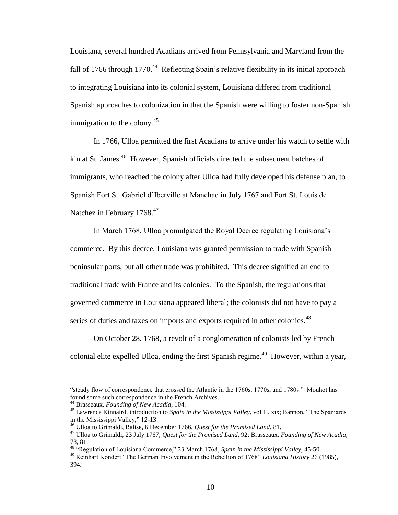Louisiana, several hundred Acadians arrived from Pennsylvania and Maryland from the fall of 1766 through 1770.<sup>44</sup> Reflecting Spain's relative flexibility in its initial approach to integrating Louisiana into its colonial system, Louisiana differed from traditional Spanish approaches to colonization in that the Spanish were willing to foster non-Spanish immigration to the colony.<sup>45</sup>

In 1766, Ulloa permitted the first Acadians to arrive under his watch to settle with kin at St. James.<sup>46</sup> However, Spanish officials directed the subsequent batches of immigrants, who reached the colony after Ulloa had fully developed his defense plan, to Spanish Fort St. Gabriel d"Iberville at Manchac in July 1767 and Fort St. Louis de Natchez in February 1768.<sup>47</sup>

In March 1768, Ulloa promulgated the Royal Decree regulating Louisiana"s commerce. By this decree, Louisiana was granted permission to trade with Spanish peninsular ports, but all other trade was prohibited. This decree signified an end to traditional trade with France and its colonies. To the Spanish, the regulations that governed commerce in Louisiana appeared liberal; the colonists did not have to pay a series of duties and taxes on imports and exports required in other colonies.<sup>48</sup>

On October 28, 1768, a revolt of a conglomeration of colonists led by French colonial elite expelled Ulloa, ending the first Spanish regime.<sup>49</sup> However, within a year,

<sup>&</sup>quot;steady flow of correspondence that crossed the Atlantic in the 1760s, 1770s, and 1780s." Mouhot has found some such correspondence in the French Archives.

<sup>44</sup> Brasseaux, *Founding of New Acadia*, 104.

<sup>45</sup> Lawrence Kinnaird, introduction to *Spain in the Mississippi Valley*, vol 1., xix; Bannon, "The Spaniards in the Mississippi Valley," 12-13.

<sup>46</sup> Ulloa to Grimaldi, Balise, 6 December 1766, *Quest for the Promised Land*, 81.

<sup>47</sup> Ulloa to Grimaldi, 23 July 1767, *Quest for the Promised Land*, 92; Brasseaux, *Founding of New Acadia*, 78, 81.

<sup>48</sup> "Regulation of Louisiana Commerce," 23 March 1768, *Spain in the Mississippi Valley*, 45-50.

<sup>49</sup> Reinhart Kondert "The German Involvement in the Rebellion of 1768" *Louisiana History* 26 (1985), 394.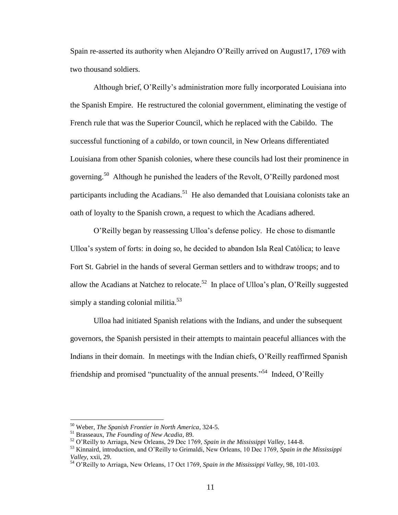Spain re-asserted its authority when Alejandro O"Reilly arrived on August17, 1769 with two thousand soldiers.

Although brief, O"Reilly"s administration more fully incorporated Louisiana into the Spanish Empire. He restructured the colonial government, eliminating the vestige of French rule that was the Superior Council, which he replaced with the Cabildo. The successful functioning of a *cabildo,* or town council, in New Orleans differentiated Louisiana from other Spanish colonies, where these councils had lost their prominence in governing.<sup>50</sup> Although he punished the leaders of the Revolt, O'Reilly pardoned most participants including the Acadians.<sup>51</sup> He also demanded that Louisiana colonists take an oath of loyalty to the Spanish crown, a request to which the Acadians adhered.

O"Reilly began by reassessing Ulloa"s defense policy. He chose to dismantle Ulloa"s system of forts: in doing so, he decided to abandon Isla Real Católica; to leave Fort St. Gabriel in the hands of several German settlers and to withdraw troops; and to allow the Acadians at Natchez to relocate.<sup>52</sup> In place of Ulloa's plan, O'Reilly suggested simply a standing colonial militia.<sup>53</sup>

Ulloa had initiated Spanish relations with the Indians, and under the subsequent governors, the Spanish persisted in their attempts to maintain peaceful alliances with the Indians in their domain. In meetings with the Indian chiefs, O"Reilly reaffirmed Spanish friendship and promised "punctuality of the annual presents."<sup>54</sup> Indeed, O'Reilly

<sup>50</sup> Weber, *The Spanish Frontier in North America*, 324-5.

<sup>51</sup> Brasseaux, *The Founding of New Acadia*, 89.

<sup>52</sup> O"Reilly to Arriaga, New Orleans, 29 Dec 1769, *Spain in the Mississippi Valley*, 144-8.

<sup>53</sup> Kinnaird, introduction, and O"Reilly to Grimaldi, New Orleans, 10 Dec 1769, *Spain in the Mississippi Valley*, xxii, 29.

<sup>54</sup> O"Reilly to Arriaga, New Orleans, 17 Oct 1769, *Spain in the Mississippi Valley,* 98, 101-103.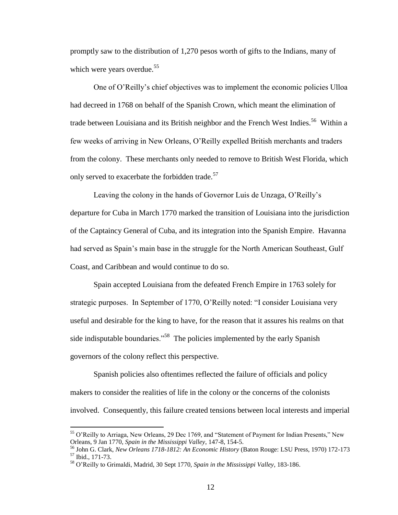promptly saw to the distribution of 1,270 pesos worth of gifts to the Indians, many of which were years overdue.<sup>55</sup>

One of O"Reilly"s chief objectives was to implement the economic policies Ulloa had decreed in 1768 on behalf of the Spanish Crown, which meant the elimination of trade between Louisiana and its British neighbor and the French West Indies.<sup>56</sup> Within a few weeks of arriving in New Orleans, O"Reilly expelled British merchants and traders from the colony. These merchants only needed to remove to British West Florida, which only served to exacerbate the forbidden trade.<sup>57</sup>

Leaving the colony in the hands of Governor Luis de Unzaga, O"Reilly"s departure for Cuba in March 1770 marked the transition of Louisiana into the jurisdiction of the Captaincy General of Cuba, and its integration into the Spanish Empire. Havanna had served as Spain's main base in the struggle for the North American Southeast, Gulf Coast, and Caribbean and would continue to do so.

Spain accepted Louisiana from the defeated French Empire in 1763 solely for strategic purposes. In September of 1770, O"Reilly noted: "I consider Louisiana very useful and desirable for the king to have, for the reason that it assures his realms on that side indisputable boundaries.<sup> $.58$ </sup> The policies implemented by the early Spanish governors of the colony reflect this perspective.

Spanish policies also oftentimes reflected the failure of officials and policy makers to consider the realities of life in the colony or the concerns of the colonists involved. Consequently, this failure created tensions between local interests and imperial

<sup>&</sup>lt;sup>55</sup> O'Reilly to Arriaga, New Orleans, 29 Dec 1769, and "Statement of Payment for Indian Presents," New Orleans, 9 Jan 1770, *Spain in the Mississippi Valley*, 147-8, 154-5.

<sup>56</sup> John G. Clark, *New Orleans 1718-1812: An Economic History* (Baton Rouge: LSU Press, 1970) 172-173 <sup>57</sup> Ibid., 171-73.

<sup>58</sup> O"Reilly to Grimaldi, Madrid, 30 Sept 1770, *Spain in the Mississippi Valley*, 183-186.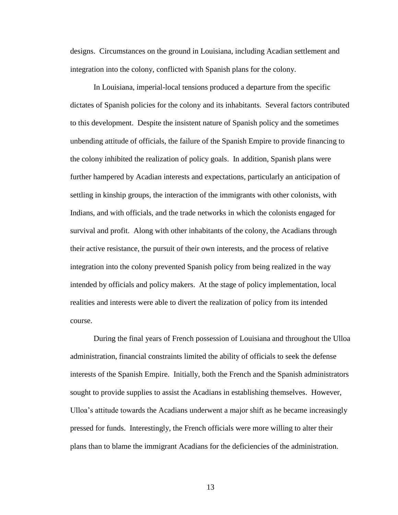designs. Circumstances on the ground in Louisiana, including Acadian settlement and integration into the colony, conflicted with Spanish plans for the colony.

In Louisiana, imperial-local tensions produced a departure from the specific dictates of Spanish policies for the colony and its inhabitants. Several factors contributed to this development. Despite the insistent nature of Spanish policy and the sometimes unbending attitude of officials, the failure of the Spanish Empire to provide financing to the colony inhibited the realization of policy goals. In addition, Spanish plans were further hampered by Acadian interests and expectations, particularly an anticipation of settling in kinship groups, the interaction of the immigrants with other colonists, with Indians, and with officials, and the trade networks in which the colonists engaged for survival and profit. Along with other inhabitants of the colony, the Acadians through their active resistance, the pursuit of their own interests, and the process of relative integration into the colony prevented Spanish policy from being realized in the way intended by officials and policy makers. At the stage of policy implementation, local realities and interests were able to divert the realization of policy from its intended course.

During the final years of French possession of Louisiana and throughout the Ulloa administration, financial constraints limited the ability of officials to seek the defense interests of the Spanish Empire. Initially, both the French and the Spanish administrators sought to provide supplies to assist the Acadians in establishing themselves. However, Ulloa"s attitude towards the Acadians underwent a major shift as he became increasingly pressed for funds. Interestingly, the French officials were more willing to alter their plans than to blame the immigrant Acadians for the deficiencies of the administration.

13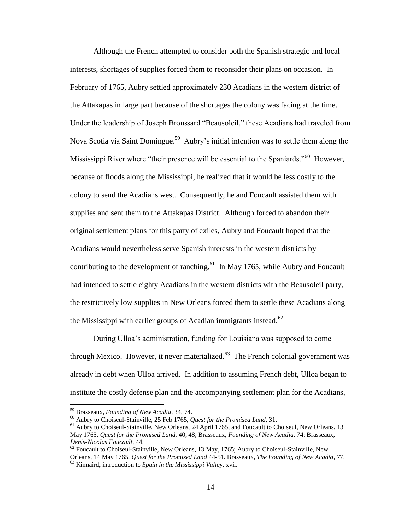Although the French attempted to consider both the Spanish strategic and local interests, shortages of supplies forced them to reconsider their plans on occasion. In February of 1765, Aubry settled approximately 230 Acadians in the western district of the Attakapas in large part because of the shortages the colony was facing at the time. Under the leadership of Joseph Broussard "Beausoleil," these Acadians had traveled from Nova Scotia via Saint Domingue.<sup>59</sup> Aubry's initial intention was to settle them along the Mississippi River where "their presence will be essential to the Spaniards."<sup>60</sup> However, because of floods along the Mississippi, he realized that it would be less costly to the colony to send the Acadians west. Consequently, he and Foucault assisted them with supplies and sent them to the Attakapas District. Although forced to abandon their original settlement plans for this party of exiles, Aubry and Foucault hoped that the Acadians would nevertheless serve Spanish interests in the western districts by contributing to the development of ranching. $^{61}$  In May 1765, while Aubry and Foucault had intended to settle eighty Acadians in the western districts with the Beausoleil party, the restrictively low supplies in New Orleans forced them to settle these Acadians along the Mississippi with earlier groups of Acadian immigrants instead. $^{62}$ 

During Ulloa"s administration, funding for Louisiana was supposed to come through Mexico. However, it never materialized. $63$  The French colonial government was already in debt when Ulloa arrived. In addition to assuming French debt, Ulloa began to institute the costly defense plan and the accompanying settlement plan for the Acadians,

<sup>59</sup> Brasseaux, *Founding of New Acadia*, 34, 74.

<sup>60</sup> Aubry to Choiseul-Stainville, 25 Feb 1765, *Quest for the Promised Land,* 31.

<sup>&</sup>lt;sup>61</sup> Aubry to Choiseul-Stainville, New Orleans, 24 April 1765, and Foucault to Choiseul, New Orleans, 13 May 1765, *Quest for the Promised Land*, 40, 48; Brasseaux, *Founding of New Acadia*, 74; Brasseaux, *Denis-Nicolas Foucault*, 44.

 $62$  Foucault to Choiseul-Stainville, New Orleans, 13 May, 1765; Aubry to Choiseul-Stainville, New Orleans, 14 May 1765, *Quest for the Promised Land* 44-51. Brasseaux, *The Founding of New Acadia*, 77. <sup>63</sup> Kinnaird, introduction to *Spain in the Mississippi Valley*, xvii.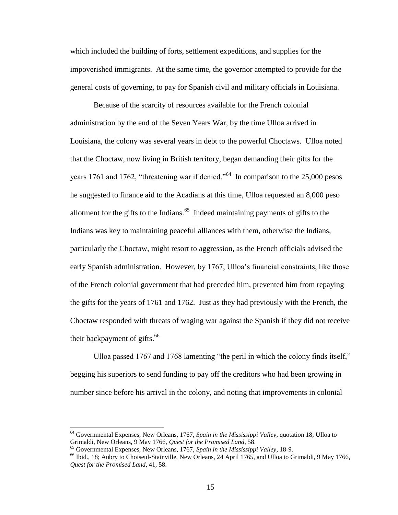which included the building of forts, settlement expeditions, and supplies for the impoverished immigrants. At the same time, the governor attempted to provide for the general costs of governing, to pay for Spanish civil and military officials in Louisiana.

Because of the scarcity of resources available for the French colonial administration by the end of the Seven Years War, by the time Ulloa arrived in Louisiana, the colony was several years in debt to the powerful Choctaws. Ulloa noted that the Choctaw, now living in British territory, began demanding their gifts for the years 1761 and 1762, "threatening war if denied."<sup>64</sup> In comparison to the 25,000 pesos he suggested to finance aid to the Acadians at this time, Ulloa requested an 8,000 peso allotment for the gifts to the Indians. $65$  Indeed maintaining payments of gifts to the Indians was key to maintaining peaceful alliances with them, otherwise the Indians, particularly the Choctaw, might resort to aggression, as the French officials advised the early Spanish administration. However, by 1767, Ulloa"s financial constraints, like those of the French colonial government that had preceded him, prevented him from repaying the gifts for the years of 1761 and 1762. Just as they had previously with the French, the Choctaw responded with threats of waging war against the Spanish if they did not receive their backpayment of gifts. $66$ 

Ulloa passed 1767 and 1768 lamenting "the peril in which the colony finds itself," begging his superiors to send funding to pay off the creditors who had been growing in number since before his arrival in the colony, and noting that improvements in colonial

<sup>64</sup> Governmental Expenses, New Orleans, 1767, *Spain in the Mississippi Valley*, quotation 18; Ulloa to Grimaldi, New Orleans, 9 May 1766, *Quest for the Promised Land*, 58.

<sup>65</sup> Governmental Expenses, New Orleans, 1767, *Spain in the Mississippi Valley*, 18-9.

<sup>66</sup> Ibid., 18; Aubry to Choiseul-Stainville, New Orleans, 24 April 1765, and Ulloa to Grimaldi, 9 May 1766, *Quest for the Promised Land*, 41, 58.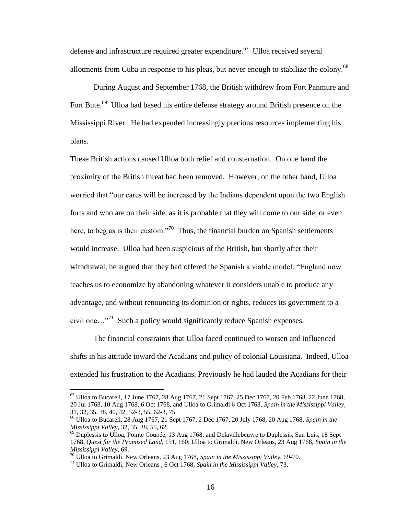defense and infrastructure required greater expenditure.<sup>67</sup> Ulloa received several allotments from Cuba in response to his pleas, but never enough to stabilize the colony.<sup>68</sup>

During August and September 1768, the British withdrew from Fort Panmure and Fort Bute.<sup>69</sup> Ulloa had based his entire defense strategy around British presence on the Mississippi River. He had expended increasingly precious resources implementing his plans.

These British actions caused Ulloa both relief and consternation. On one hand the proximity of the British threat had been removed. However, on the other hand, Ulloa worried that "our cares will be increased by the Indians dependent upon the two English forts and who are on their side, as it is probable that they will come to our side, or even here, to beg as is their custom."<sup>70</sup> Thus, the financial burden on Spanish settlements would increase. Ulloa had been suspicious of the British, but shortly after their withdrawal, he argued that they had offered the Spanish a viable model: "England now teaches us to economize by abandoning whatever it considers unable to produce any advantage, and without renouncing its dominion or rights, reduces its government to a civil one... $\cdot$ <sup>71</sup> Such a policy would significantly reduce Spanish expenses.

The financial constraints that Ulloa faced continued to worsen and influenced shifts in his attitude toward the Acadians and policy of colonial Louisiana. Indeed, Ulloa extended his frustration to the Acadians. Previously he had lauded the Acadians for their

<sup>67</sup> Ulloa to Bucareli, 17 June 1767, 28 Aug 1767, 21 Sept 1767, 25 Dec 1767, 20 Feb 1768, 22 June 1768, 20 Jul 1768, 10 Aug 1768, 6 Oct 1768, and Ulloa to Grimaldi 6 Oct 1768, *Spain in the Mississippi Valley,*  31, 32, 35, 38, 40, 42, 52-3, 55, 62-3, 75.

<sup>68</sup> Ulloa to Bucareli, 28 Aug 1767, 21 Sept 1767, 2 Dec 1767, 20 July 1768, 20 Aug 1768, *Spain in the Mississippi Valley*, 32, 35, 38, 55, 62.

 $^{69}$  Duplessis to Ulloa, Pointe Coupée, 13 Aug 1768, and Delavillebeuvre to Duplessis, San Luis, 18 Sept 1768, *Quest for the Promised Land*, 151, 160; Ulloa to Grimaldi, New Orleans, 23 Aug 1768, *Spain in the Mississippi Valley*, 69.

<sup>70</sup> Ulloa to Grimaldi, New Orleans, 23 Aug 1768, *Spain in the Mississippi Valley*, 69-70.

<sup>71</sup> Ulloa to Grimaldi, New Orleans , 6 Oct 1768, *Spain in the Mississippi Valley*, 73.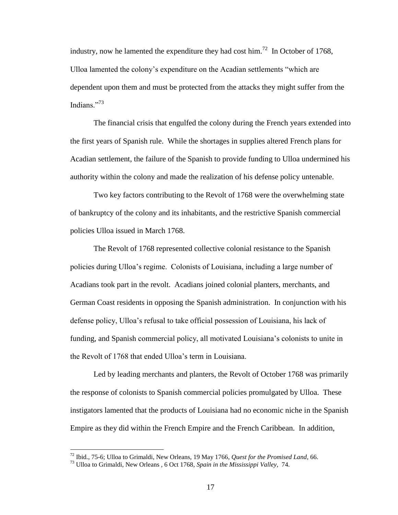industry, now he lamented the expenditure they had cost him.<sup>72</sup> In October of 1768, Ulloa lamented the colony"s expenditure on the Acadian settlements "which are dependent upon them and must be protected from the attacks they might suffer from the Indians."<sup>73</sup>

The financial crisis that engulfed the colony during the French years extended into the first years of Spanish rule. While the shortages in supplies altered French plans for Acadian settlement, the failure of the Spanish to provide funding to Ulloa undermined his authority within the colony and made the realization of his defense policy untenable.

Two key factors contributing to the Revolt of 1768 were the overwhelming state of bankruptcy of the colony and its inhabitants, and the restrictive Spanish commercial policies Ulloa issued in March 1768.

The Revolt of 1768 represented collective colonial resistance to the Spanish policies during Ulloa"s regime. Colonists of Louisiana, including a large number of Acadians took part in the revolt. Acadians joined colonial planters, merchants, and German Coast residents in opposing the Spanish administration. In conjunction with his defense policy, Ulloa"s refusal to take official possession of Louisiana, his lack of funding, and Spanish commercial policy, all motivated Louisiana"s colonists to unite in the Revolt of 1768 that ended Ulloa"s term in Louisiana.

Led by leading merchants and planters, the Revolt of October 1768 was primarily the response of colonists to Spanish commercial policies promulgated by Ulloa. These instigators lamented that the products of Louisiana had no economic niche in the Spanish Empire as they did within the French Empire and the French Caribbean. In addition,

<sup>72</sup> Ibid., 75-6; Ulloa to Grimaldi, New Orleans, 19 May 1766, *Quest for the Promised Land*, 66.

<sup>73</sup> Ulloa to Grimaldi, New Orleans , 6 Oct 1768, *Spain in the Mississippi Valley*, 74.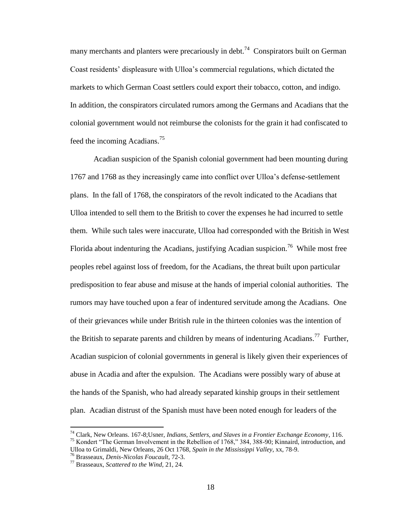many merchants and planters were precariously in debt.<sup>74</sup> Conspirators built on German Coast residents" displeasure with Ulloa"s commercial regulations, which dictated the markets to which German Coast settlers could export their tobacco, cotton, and indigo. In addition, the conspirators circulated rumors among the Germans and Acadians that the colonial government would not reimburse the colonists for the grain it had confiscated to feed the incoming Acadians.<sup>75</sup>

Acadian suspicion of the Spanish colonial government had been mounting during 1767 and 1768 as they increasingly came into conflict over Ulloa"s defense-settlement plans. In the fall of 1768, the conspirators of the revolt indicated to the Acadians that Ulloa intended to sell them to the British to cover the expenses he had incurred to settle them. While such tales were inaccurate, Ulloa had corresponded with the British in West Florida about indenturing the Acadians, justifying Acadian suspicion.<sup>76</sup> While most free peoples rebel against loss of freedom, for the Acadians, the threat built upon particular predisposition to fear abuse and misuse at the hands of imperial colonial authorities. The rumors may have touched upon a fear of indentured servitude among the Acadians. One of their grievances while under British rule in the thirteen colonies was the intention of the British to separate parents and children by means of indenturing Acadians.<sup>77</sup> Further, Acadian suspicion of colonial governments in general is likely given their experiences of abuse in Acadia and after the expulsion. The Acadians were possibly wary of abuse at the hands of the Spanish, who had already separated kinship groups in their settlement plan. Acadian distrust of the Spanish must have been noted enough for leaders of the

<sup>74</sup> Clark, New Orleans. 167-8;Usner, *Indians, Settlers, and Slaves in a Frontier Exchange Economy*, 116. <sup>75</sup> Kondert "The German Involvement in the Rebellion of 1768," 384, 388-90; Kinnaird, introduction, and

Ulloa to Grimaldi, New Orleans, 26 Oct 1768, *Spain in the Mississippi Valley*, xx, 78-9.

<sup>76</sup> Brasseaux, *Denis-Nicolas Foucault*, 72-3.

<sup>77</sup> Brasseaux, *Scattered to the Wind,* 21, 24.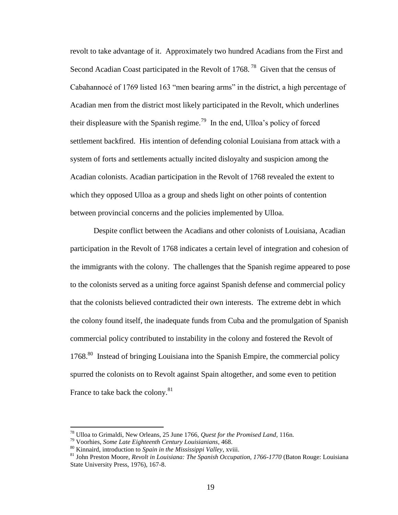revolt to take advantage of it. Approximately two hundred Acadians from the First and Second Acadian Coast participated in the Revolt of 1768.<sup>78</sup> Given that the census of Cabahannocé of 1769 listed 163 "men bearing arms" in the district, a high percentage of Acadian men from the district most likely participated in the Revolt, which underlines their displeasure with the Spanish regime.<sup>79</sup> In the end, Ulloa's policy of forced settlement backfired. His intention of defending colonial Louisiana from attack with a system of forts and settlements actually incited disloyalty and suspicion among the Acadian colonists. Acadian participation in the Revolt of 1768 revealed the extent to which they opposed Ulloa as a group and sheds light on other points of contention between provincial concerns and the policies implemented by Ulloa.

Despite conflict between the Acadians and other colonists of Louisiana, Acadian participation in the Revolt of 1768 indicates a certain level of integration and cohesion of the immigrants with the colony. The challenges that the Spanish regime appeared to pose to the colonists served as a uniting force against Spanish defense and commercial policy that the colonists believed contradicted their own interests. The extreme debt in which the colony found itself, the inadequate funds from Cuba and the promulgation of Spanish commercial policy contributed to instability in the colony and fostered the Revolt of 1768.<sup>80</sup> Instead of bringing Louisiana into the Spanish Empire, the commercial policy spurred the colonists on to Revolt against Spain altogether, and some even to petition France to take back the colony.<sup>81</sup>

<sup>78</sup> Ulloa to Grimaldi, New Orleans, 25 June 1766, *Quest for the Promised Land*, 116n.

<sup>79</sup> Voorhies, *Some Late Eighteenth Century Louisianians*, 468.

<sup>80</sup> Kinnaird, introduction to *Spain in the Mississippi Valley*, xviii.

<sup>81</sup> John Preston Moore, *Revolt in Louisiana: The Spanish Occupation, 1766-1770* (Baton Rouge: Louisiana State University Press, 1976), 167-8.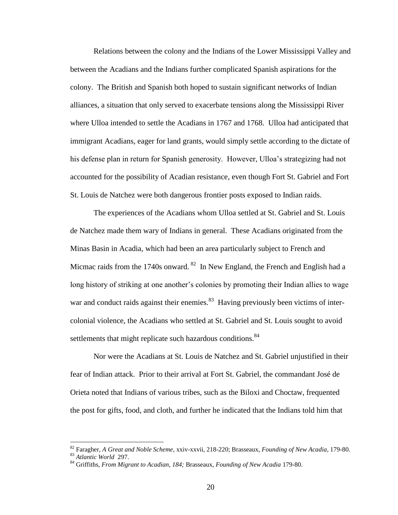Relations between the colony and the Indians of the Lower Mississippi Valley and between the Acadians and the Indians further complicated Spanish aspirations for the colony. The British and Spanish both hoped to sustain significant networks of Indian alliances, a situation that only served to exacerbate tensions along the Mississippi River where Ulloa intended to settle the Acadians in 1767 and 1768. Ulloa had anticipated that immigrant Acadians, eager for land grants, would simply settle according to the dictate of his defense plan in return for Spanish generosity. However, Ulloa"s strategizing had not accounted for the possibility of Acadian resistance, even though Fort St. Gabriel and Fort St. Louis de Natchez were both dangerous frontier posts exposed to Indian raids.

The experiences of the Acadians whom Ulloa settled at St. Gabriel and St. Louis de Natchez made them wary of Indians in general. These Acadians originated from the Minas Basin in Acadia, which had been an area particularly subject to French and Micmac raids from the 1740s onward.  $82$  In New England, the French and English had a long history of striking at one another's colonies by promoting their Indian allies to wage war and conduct raids against their enemies.<sup>83</sup> Having previously been victims of intercolonial violence, the Acadians who settled at St. Gabriel and St. Louis sought to avoid settlements that might replicate such hazardous conditions. $84$ 

Nor were the Acadians at St. Louis de Natchez and St. Gabriel unjustified in their fear of Indian attack. Prior to their arrival at Fort St. Gabriel, the commandant José de Orieta noted that Indians of various tribes, such as the Biloxi and Choctaw, frequented the post for gifts, food, and cloth, and further he indicated that the Indians told him that

<sup>82</sup> Faragher, *A Great and Noble Scheme*, xxiv-xxvii, 218-220; Brasseaux, *Founding of New Acadia*, 179-80. <sup>83</sup> *Atlantic World* 297.

<sup>84</sup> Griffiths, *From Migrant to Acadian, 184;* Brasseaux, *Founding of New Acadia* 179-80.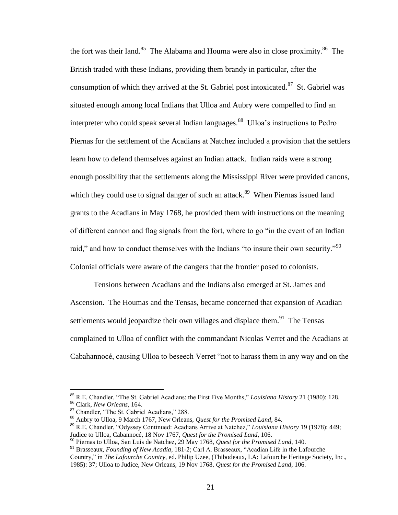the fort was their land.<sup>85</sup> The Alabama and Houma were also in close proximity.<sup>86</sup> The British traded with these Indians, providing them brandy in particular, after the consumption of which they arrived at the St. Gabriel post intoxicated.<sup>87</sup> St. Gabriel was situated enough among local Indians that Ulloa and Aubry were compelled to find an interpreter who could speak several Indian languages.<sup>88</sup> Ulloa's instructions to Pedro Piernas for the settlement of the Acadians at Natchez included a provision that the settlers learn how to defend themselves against an Indian attack. Indian raids were a strong enough possibility that the settlements along the Mississippi River were provided canons, which they could use to signal danger of such an attack.<sup>89</sup> When Piernas issued land grants to the Acadians in May 1768, he provided them with instructions on the meaning of different cannon and flag signals from the fort, where to go "in the event of an Indian raid," and how to conduct themselves with the Indians "to insure their own security."<sup>90</sup> Colonial officials were aware of the dangers that the frontier posed to colonists.

Tensions between Acadians and the Indians also emerged at St. James and Ascension. The Houmas and the Tensas, became concerned that expansion of Acadian settlements would jeopardize their own villages and displace them.<sup>91</sup> The Tensas complained to Ulloa of conflict with the commandant Nicolas Verret and the Acadians at Cabahannocé, causing Ulloa to beseech Verret "not to harass them in any way and on the

<sup>85</sup> R.E. Chandler, "The St. Gabriel Acadians: the First Five Months," *Louisiana History* 21 (1980): 128. <sup>86</sup> Clark, *New Orleans,* 164.

<sup>87</sup> Chandler, "The St. Gabriel Acadians," 288.

<sup>88</sup> Aubry to Ulloa, 9 March 1767, New Orleans, *Quest for the Promised Land*, 84.

<sup>89</sup> R.E. Chandler, "Odyssey Continued: Acadians Arrive at Natchez," *Louisiana History* 19 (1978): 449; Judice to Ulloa, Cabannocé, 18 Nov 1767, *Quest for the Promised Land*, 106.

<sup>90</sup> Piernas to Ulloa, San Luis de Natchez, 29 May 1768, *Quest for the Promised Land*, 140.

<sup>91</sup> Brasseaux, *Founding of New Acadia*, 181-2; Carl A. Brasseaux, "Acadian Life in the Lafourche Country," in *The Lafourche Country*, ed. Philip Uzee, (Thibodeaux, LA: Lafourche Heritage Society, Inc., 1985): 37; Ulloa to Judice, New Orleans, 19 Nov 1768, *Quest for the Promised Land*, 106.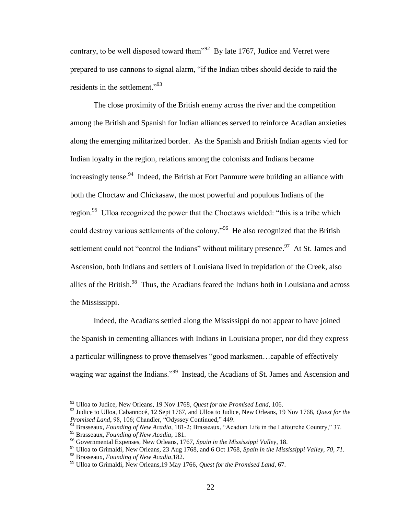contrary, to be well disposed toward them<sup> $192$ </sup> By late 1767, Judice and Verret were prepared to use cannons to signal alarm, "if the Indian tribes should decide to raid the residents in the settlement."<sup>93</sup>

The close proximity of the British enemy across the river and the competition among the British and Spanish for Indian alliances served to reinforce Acadian anxieties along the emerging militarized border. As the Spanish and British Indian agents vied for Indian loyalty in the region, relations among the colonists and Indians became increasingly tense.<sup>94</sup> Indeed, the British at Fort Panmure were building an alliance with both the Choctaw and Chickasaw, the most powerful and populous Indians of the region.<sup>95</sup> Ulloa recognized the power that the Choctaws wielded: "this is a tribe which could destroy various settlements of the colony."<sup>96</sup> He also recognized that the British settlement could not "control the Indians" without military presence.<sup>97</sup> At St. James and Ascension, both Indians and settlers of Louisiana lived in trepidation of the Creek, also allies of the British.<sup>98</sup> Thus, the Acadians feared the Indians both in Louisiana and across the Mississippi.

Indeed, the Acadians settled along the Mississippi do not appear to have joined the Spanish in cementing alliances with Indians in Louisiana proper, nor did they express a particular willingness to prove themselves "good marksmen…capable of effectively waging war against the Indians."<sup>99</sup> Instead, the Acadians of St. James and Ascension and

<sup>92</sup> Ulloa to Judice, New Orleans, 19 Nov 1768, *Quest for the Promised Land*, 106.

<sup>93</sup> Judice to Ulloa, Cabannocé, 12 Sept 1767, and Ulloa to Judice, New Orleans, 19 Nov 1768, *Quest for the Promised Land*, 98, 106; Chandler, "Odyssey Continued," 449.

<sup>94</sup> Brasseaux, *Founding of New Acadia*, 181-2; Brasseaux, "Acadian Life in the Lafourche Country," 37.

<sup>95</sup> Brasseaux, *Founding of New Acadia*, 181.

<sup>96</sup> Governmental Expenses, New Orleans, 1767, *Spain in the Mississippi Valley*, 18.

<sup>97</sup> Ulloa to Grimaldi, New Orleans, 23 Aug 1768, and 6 Oct 1768, *Spain in the Mississippi Valley, 70, 71.*

<sup>98</sup> Brasseaux, *Founding of New Acadia*,182.

<sup>99</sup> Ulloa to Grimaldi, New Orleans,19 May 1766, *Quest for the Promised Land*, 67.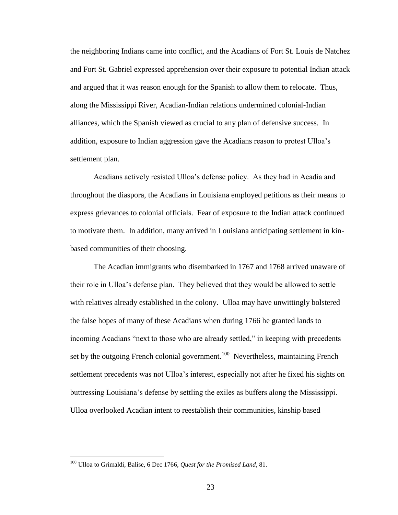the neighboring Indians came into conflict, and the Acadians of Fort St. Louis de Natchez and Fort St. Gabriel expressed apprehension over their exposure to potential Indian attack and argued that it was reason enough for the Spanish to allow them to relocate. Thus, along the Mississippi River, Acadian-Indian relations undermined colonial-Indian alliances, which the Spanish viewed as crucial to any plan of defensive success. In addition, exposure to Indian aggression gave the Acadians reason to protest Ulloa"s settlement plan.

Acadians actively resisted Ulloa"s defense policy. As they had in Acadia and throughout the diaspora, the Acadians in Louisiana employed petitions as their means to express grievances to colonial officials. Fear of exposure to the Indian attack continued to motivate them. In addition, many arrived in Louisiana anticipating settlement in kinbased communities of their choosing.

The Acadian immigrants who disembarked in 1767 and 1768 arrived unaware of their role in Ulloa"s defense plan. They believed that they would be allowed to settle with relatives already established in the colony. Ulloa may have unwittingly bolstered the false hopes of many of these Acadians when during 1766 he granted lands to incoming Acadians "next to those who are already settled," in keeping with precedents set by the outgoing French colonial government.<sup>100</sup> Nevertheless, maintaining French settlement precedents was not Ulloa"s interest, especially not after he fixed his sights on buttressing Louisiana"s defense by settling the exiles as buffers along the Mississippi. Ulloa overlooked Acadian intent to reestablish their communities, kinship based

<sup>100</sup> Ulloa to Grimaldi, Balise, 6 Dec 1766, *Quest for the Promised Land*, 81.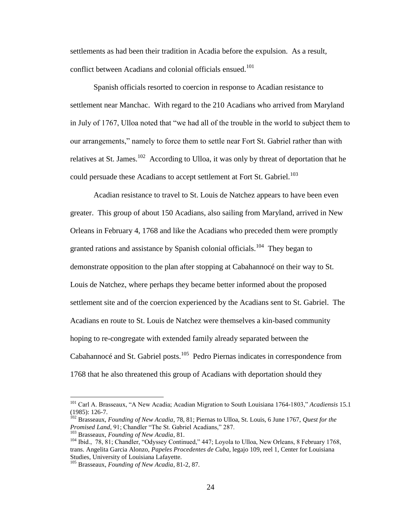settlements as had been their tradition in Acadia before the expulsion. As a result, conflict between Acadians and colonial officials ensued.<sup>101</sup>

Spanish officials resorted to coercion in response to Acadian resistance to settlement near Manchac. With regard to the 210 Acadians who arrived from Maryland in July of 1767, Ulloa noted that "we had all of the trouble in the world to subject them to our arrangements," namely to force them to settle near Fort St. Gabriel rather than with relatives at St. James.<sup>102</sup> According to Ulloa, it was only by threat of deportation that he could persuade these Acadians to accept settlement at Fort St. Gabriel.<sup>103</sup>

Acadian resistance to travel to St. Louis de Natchez appears to have been even greater. This group of about 150 Acadians, also sailing from Maryland, arrived in New Orleans in February 4, 1768 and like the Acadians who preceded them were promptly granted rations and assistance by Spanish colonial officials.<sup>104</sup> They began to demonstrate opposition to the plan after stopping at Cabahannocé on their way to St. Louis de Natchez, where perhaps they became better informed about the proposed settlement site and of the coercion experienced by the Acadians sent to St. Gabriel. The Acadians en route to St. Louis de Natchez were themselves a kin-based community hoping to re-congregate with extended family already separated between the Cabahannocé and St. Gabriel posts.<sup>105</sup> Pedro Piernas indicates in correspondence from 1768 that he also threatened this group of Acadians with deportation should they

<sup>101</sup> Carl A. Brasseaux, "A New Acadia; Acadian Migration to South Louisiana 1764-1803," *Acadiensis* 15.1 (1985): 126-7.

<sup>102</sup> Brasseaux, *Founding of New Acadia*, 78, 81; Piernas to Ulloa, St. Louis, 6 June 1767, *Quest for the Promised Land*, 91; Chandler "The St. Gabriel Acadians," 287.

<sup>103</sup> Brasseaux, *Founding of New Acadia*, 81.

<sup>104</sup> Ibid., 78, 81; Chandler, "Odyssey Continued," 447; Loyola to Ulloa, New Orleans, 8 February 1768, trans. Angelita Garcia Alonzo, *Papeles Procedentes de Cuba*, legajo 109, reel 1, Center for Louisiana Studies, University of Louisiana Lafayette.

<sup>105</sup> Brasseaux, *Founding of New Acadia*, 81-2, 87.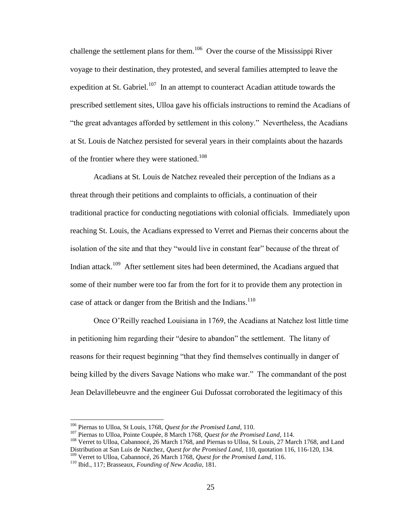challenge the settlement plans for them.<sup>106</sup> Over the course of the Mississippi River voyage to their destination, they protested, and several families attempted to leave the expedition at St. Gabriel.<sup>107</sup> In an attempt to counteract Acadian attitude towards the prescribed settlement sites, Ulloa gave his officials instructions to remind the Acadians of "the great advantages afforded by settlement in this colony." Nevertheless, the Acadians at St. Louis de Natchez persisted for several years in their complaints about the hazards of the frontier where they were stationed.<sup>108</sup>

Acadians at St. Louis de Natchez revealed their perception of the Indians as a threat through their petitions and complaints to officials, a continuation of their traditional practice for conducting negotiations with colonial officials. Immediately upon reaching St. Louis, the Acadians expressed to Verret and Piernas their concerns about the isolation of the site and that they "would live in constant fear" because of the threat of Indian attack.<sup>109</sup> After settlement sites had been determined, the Acadians argued that some of their number were too far from the fort for it to provide them any protection in case of attack or danger from the British and the Indians.<sup>110</sup>

Once O"Reilly reached Louisiana in 1769, the Acadians at Natchez lost little time in petitioning him regarding their "desire to abandon" the settlement. The litany of reasons for their request beginning "that they find themselves continually in danger of being killed by the divers Savage Nations who make war." The commandant of the post Jean Delavillebeuvre and the engineer Gui Dufossat corroborated the legitimacy of this

<sup>106</sup> Piernas to Ulloa, St Louis, 1768, *Quest for the Promised Land*, 110.

<sup>107</sup> Piernas to Ulloa, Pointe Coupée, 8 March 1768, *Quest for the Promised Land*, 114.

<sup>&</sup>lt;sup>108</sup> Verret to Ulloa, Cabannocé, 26 March 1768, and Piernas to Ulloa, St Louis, 27 March 1768, and Land Distribution at San Luis de Natchez, *Quest for the Promised Land*, 110, quotation 116, 116-120, 134.

<sup>109</sup> Verret to Ulloa, Cabannocé, 26 March 1768, *Quest for the Promised Land*, 116.

<sup>110</sup> Ibid., 117; Brasseaux, *Founding of New Acadia*, 181.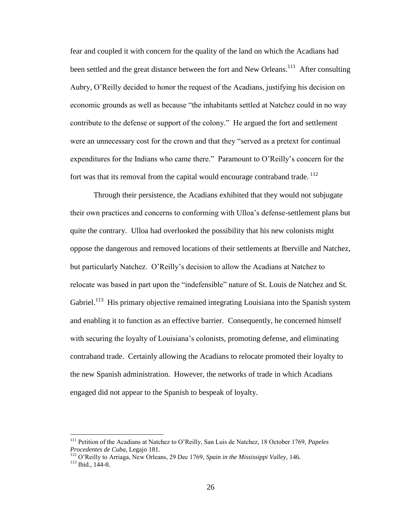fear and coupled it with concern for the quality of the land on which the Acadians had been settled and the great distance between the fort and New Orleans.<sup>111</sup> After consulting Aubry, O"Reilly decided to honor the request of the Acadians, justifying his decision on economic grounds as well as because "the inhabitants settled at Natchez could in no way contribute to the defense or support of the colony." He argued the fort and settlement were an unnecessary cost for the crown and that they "served as a pretext for continual expenditures for the Indians who came there." Paramount to O"Reilly"s concern for the fort was that its removal from the capital would encourage contraband trade.  $^{112}$ 

Through their persistence, the Acadians exhibited that they would not subjugate their own practices and concerns to conforming with Ulloa"s defense-settlement plans but quite the contrary. Ulloa had overlooked the possibility that his new colonists might oppose the dangerous and removed locations of their settlements at Iberville and Natchez, but particularly Natchez. O"Reilly"s decision to allow the Acadians at Natchez to relocate was based in part upon the "indefensible" nature of St. Louis de Natchez and St. Gabriel.<sup>113</sup> His primary objective remained integrating Louisiana into the Spanish system and enabling it to function as an effective barrier. Consequently, he concerned himself with securing the loyalty of Louisiana's colonists, promoting defense, and eliminating contraband trade. Certainly allowing the Acadians to relocate promoted their loyalty to the new Spanish administration. However, the networks of trade in which Acadians engaged did not appear to the Spanish to bespeak of loyalty.

<sup>111</sup> Petition of the Acadians at Natchez to O"Reilly, San Luis de Natchez, 18 October 1769, *Papeles Procedentes de Cuba*, Legajo 181.

<sup>112</sup> O"Reilly to Arriaga, New Orleans, 29 Dec 1769, *Spain in the Mississippi Valley*, 146. <sup>113</sup> Ibid., 144-8.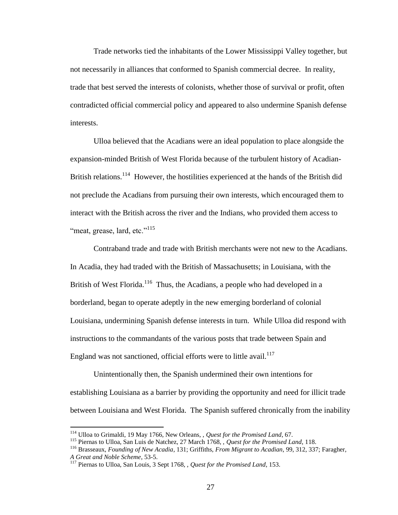Trade networks tied the inhabitants of the Lower Mississippi Valley together, but not necessarily in alliances that conformed to Spanish commercial decree. In reality, trade that best served the interests of colonists, whether those of survival or profit, often contradicted official commercial policy and appeared to also undermine Spanish defense interests.

Ulloa believed that the Acadians were an ideal population to place alongside the expansion-minded British of West Florida because of the turbulent history of Acadian-British relations.<sup>114</sup> However, the hostilities experienced at the hands of the British did not preclude the Acadians from pursuing their own interests, which encouraged them to interact with the British across the river and the Indians, who provided them access to "meat, grease, lard, etc."<sup>115</sup>

Contraband trade and trade with British merchants were not new to the Acadians. In Acadia, they had traded with the British of Massachusetts; in Louisiana, with the British of West Florida.<sup>116</sup> Thus, the Acadians, a people who had developed in a borderland, began to operate adeptly in the new emerging borderland of colonial Louisiana, undermining Spanish defense interests in turn. While Ulloa did respond with instructions to the commandants of the various posts that trade between Spain and England was not sanctioned, official efforts were to little avail.<sup>117</sup>

Unintentionally then, the Spanish undermined their own intentions for establishing Louisiana as a barrier by providing the opportunity and need for illicit trade between Louisiana and West Florida. The Spanish suffered chronically from the inability

<sup>114</sup> Ulloa to Grimaldi, 19 May 1766, New Orleans, , *Quest for the Promised Land*, 67.

<sup>115</sup> Piernas to Ulloa, San Luis de Natchez, 27 March 1768, , *Quest for the Promised Land*, 118.

<sup>116</sup> Brasseaux, *Founding of New Acadia*, 131; Griffiths, *From Migrant to Acadian*, 99, 312, 337; Faragher, *A Great and Noble Scheme*, 53-5.

<sup>117</sup> Piernas to Ulloa, San Louis, 3 Sept 1768, , *Quest for the Promised Land*, 153.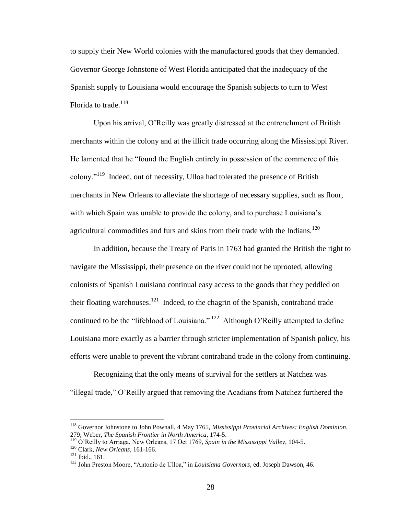to supply their New World colonies with the manufactured goods that they demanded. Governor George Johnstone of West Florida anticipated that the inadequacy of the Spanish supply to Louisiana would encourage the Spanish subjects to turn to West Florida to trade.<sup>118</sup>

Upon his arrival, O"Reilly was greatly distressed at the entrenchment of British merchants within the colony and at the illicit trade occurring along the Mississippi River. He lamented that he "found the English entirely in possession of the commerce of this colony."<sup>119</sup> Indeed, out of necessity, Ulloa had tolerated the presence of British merchants in New Orleans to alleviate the shortage of necessary supplies, such as flour, with which Spain was unable to provide the colony, and to purchase Louisiana's agricultural commodities and furs and skins from their trade with the Indians.<sup>120</sup>

In addition, because the Treaty of Paris in 1763 had granted the British the right to navigate the Mississippi, their presence on the river could not be uprooted, allowing colonists of Spanish Louisiana continual easy access to the goods that they peddled on their floating warehouses.<sup>121</sup> Indeed, to the chagrin of the Spanish, contraband trade continued to be the "lifeblood of Louisiana."  $^{122}$  Although O'Reilly attempted to define Louisiana more exactly as a barrier through stricter implementation of Spanish policy, his efforts were unable to prevent the vibrant contraband trade in the colony from continuing.

Recognizing that the only means of survival for the settlers at Natchez was "illegal trade," O"Reilly argued that removing the Acadians from Natchez furthered the

<sup>118</sup> Governor Johnstone to John Pownall, 4 May 1765, *Mississippi Provincial Archives: English Dominion*, 279; Weber, *The Spanish Frontier in North America*, 174-5.

<sup>119</sup> O"Reilly to Arriaga, New Orleans, 17 Oct 1769, *Spain in the Mississippi Valley*, 104-5.

<sup>120</sup> Clark, *New Orleans*, 161-166.

 $121$  Ibid., 161.

<sup>122</sup> John Preston Moore, "Antonio de Ulloa," in *Louisiana Governors*, ed. Joseph Dawson, 46.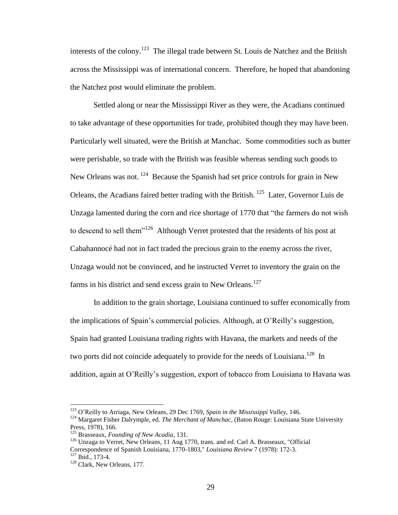interests of the colony.<sup>123</sup> The illegal trade between St. Louis de Natchez and the British across the Mississippi was of international concern. Therefore, he hoped that abandoning the Natchez post would eliminate the problem.

Settled along or near the Mississippi River as they were, the Acadians continued to take advantage of these opportunities for trade, prohibited though they may have been. Particularly well situated, were the British at Manchac. Some commodities such as butter were perishable, so trade with the British was feasible whereas sending such goods to New Orleans was not. <sup>124</sup> Because the Spanish had set price controls for grain in New Orleans, the Acadians faired better trading with the British.<sup>125</sup> Later, Governor Luis de Unzaga lamented during the corn and rice shortage of 1770 that "the farmers do not wish to descend to sell them $126$  Although Verret protested that the residents of his post at Cabahannocé had not in fact traded the precious grain to the enemy across the river, Unzaga would not be convinced, and he instructed Verret to inventory the grain on the farms in his district and send excess grain to New Orleans.<sup>127</sup>

In addition to the grain shortage, Louisiana continued to suffer economically from the implications of Spain"s commercial policies. Although, at O"Reilly"s suggestion, Spain had granted Louisiana trading rights with Havana, the markets and needs of the two ports did not coincide adequately to provide for the needs of Louisiana.<sup>128</sup> In addition, again at O"Reilly"s suggestion, export of tobacco from Louisiana to Havana was

<sup>123</sup> O"Reilly to Arriaga, New Orleans, 29 Dec 1769, *Spain in the Mississippi Valley*, 146.

<sup>&</sup>lt;sup>124</sup> Margaret Fisher Dalrymple, ed. *The Merchant of Manchac*, (Baton Rouge: Louisiana State University Press, 1978), 166.

<sup>125</sup> Brasseaux, *Founding of New Acadia*, 131.

<sup>&</sup>lt;sup>126</sup> Unzaga to Verret, New Orleans, 11 Aug 1770, trans. and ed. Carl A. Brasseaux, "Official Correspondence of Spanish Louisiana, 1770-1803," *Louisiana Review* 7 (1978): 172-3. <sup>127</sup> Ibid., 173-4.

<sup>&</sup>lt;sup>128</sup> Clark, New Orleans, 177.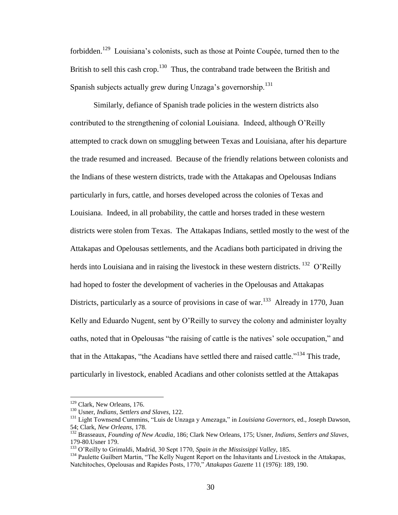forbidden.<sup>129</sup> Louisiana's colonists, such as those at Pointe Coupée, turned then to the British to sell this cash crop.<sup>130</sup> Thus, the contraband trade between the British and Spanish subjects actually grew during Unzaga's governorship.<sup>131</sup>

Similarly, defiance of Spanish trade policies in the western districts also contributed to the strengthening of colonial Louisiana. Indeed, although O"Reilly attempted to crack down on smuggling between Texas and Louisiana, after his departure the trade resumed and increased. Because of the friendly relations between colonists and the Indians of these western districts, trade with the Attakapas and Opelousas Indians particularly in furs, cattle, and horses developed across the colonies of Texas and Louisiana. Indeed, in all probability, the cattle and horses traded in these western districts were stolen from Texas. The Attakapas Indians, settled mostly to the west of the Attakapas and Opelousas settlements, and the Acadians both participated in driving the herds into Louisiana and in raising the livestock in these western districts.  $^{132}$  O'Reilly had hoped to foster the development of vacheries in the Opelousas and Attakapas Districts, particularly as a source of provisions in case of war.<sup>133</sup> Already in 1770, Juan Kelly and Eduardo Nugent, sent by O'Reilly to survey the colony and administer loyalty oaths, noted that in Opelousas "the raising of cattle is the natives' sole occupation," and that in the Attakapas, "the Acadians have settled there and raised cattle."<sup>134</sup> This trade, particularly in livestock, enabled Acadians and other colonists settled at the Attakapas

<sup>&</sup>lt;sup>129</sup> Clark, New Orleans, 176.

<sup>130</sup> Usner, *Indians, Settlers and Slaves*, 122.

<sup>131</sup> Light Townsend Cummins, "Luis de Unzaga y Amezaga," in *Louisiana Governors*, ed., Joseph Dawson, 54; Clark, *New Orleans*, 178.

<sup>132</sup> Brasseaux, *Founding of New Acadia*, 186; Clark New Orleans, 175; Usner, *Indians, Settlers and Slaves*, 179-80.Usner 179.

<sup>133</sup> O"Reilly to Grimaldi, Madrid, 30 Sept 1770, *Spain in the Mississippi Valley*, 185.

<sup>&</sup>lt;sup>134</sup> Paulette Guilbert Martin, "The Kelly Nugent Report on the Inhavitants and Livestock in the Attakapas, Natchitoches, Opelousas and Rapides Posts, 1770," *Attakapas Gazette* 11 (1976): 189, 190.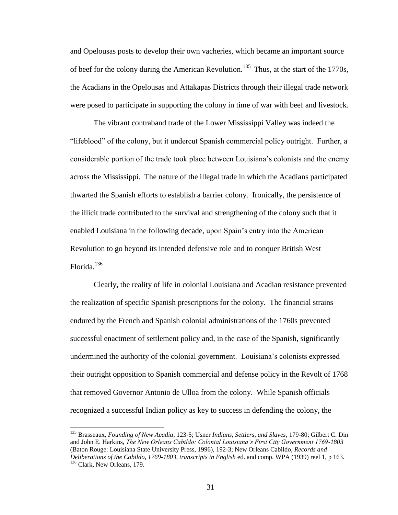and Opelousas posts to develop their own vacheries, which became an important source of beef for the colony during the American Revolution.<sup>135</sup> Thus, at the start of the 1770s, the Acadians in the Opelousas and Attakapas Districts through their illegal trade network were posed to participate in supporting the colony in time of war with beef and livestock.

The vibrant contraband trade of the Lower Mississippi Valley was indeed the "lifeblood" of the colony, but it undercut Spanish commercial policy outright. Further, a considerable portion of the trade took place between Louisiana"s colonists and the enemy across the Mississippi. The nature of the illegal trade in which the Acadians participated thwarted the Spanish efforts to establish a barrier colony. Ironically, the persistence of the illicit trade contributed to the survival and strengthening of the colony such that it enabled Louisiana in the following decade, upon Spain"s entry into the American Revolution to go beyond its intended defensive role and to conquer British West Florida.<sup>136</sup>

Clearly, the reality of life in colonial Louisiana and Acadian resistance prevented the realization of specific Spanish prescriptions for the colony. The financial strains endured by the French and Spanish colonial administrations of the 1760s prevented successful enactment of settlement policy and, in the case of the Spanish, significantly undermined the authority of the colonial government. Louisiana"s colonists expressed their outright opposition to Spanish commercial and defense policy in the Revolt of 1768 that removed Governor Antonio de Ulloa from the colony. While Spanish officials recognized a successful Indian policy as key to success in defending the colony, the

<sup>135</sup> Brasseaux, *Founding of New Acadia*, 123-5; Usner *Indians, Settlers, and Slaves*, 179-80; Gilbert C. Din and John E. Harkins, *The New Orleans Cabildo: Colonial Louisiana's First City Government 1769-1803* (Baton Rouge: Louisiana State University Press, 1996), 192-3; New Orleans Cabildo, *Records and Deliberations of the Cabildo, 1769-1803, transcripts in English* ed. and comp. WPA (1939) reel 1, p 163. <sup>136</sup> Clark, New Orleans, 179.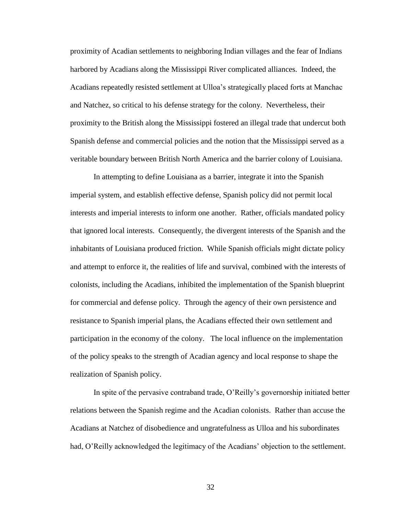proximity of Acadian settlements to neighboring Indian villages and the fear of Indians harbored by Acadians along the Mississippi River complicated alliances. Indeed, the Acadians repeatedly resisted settlement at Ulloa"s strategically placed forts at Manchac and Natchez, so critical to his defense strategy for the colony. Nevertheless, their proximity to the British along the Mississippi fostered an illegal trade that undercut both Spanish defense and commercial policies and the notion that the Mississippi served as a veritable boundary between British North America and the barrier colony of Louisiana.

In attempting to define Louisiana as a barrier, integrate it into the Spanish imperial system, and establish effective defense, Spanish policy did not permit local interests and imperial interests to inform one another. Rather, officials mandated policy that ignored local interests. Consequently, the divergent interests of the Spanish and the inhabitants of Louisiana produced friction. While Spanish officials might dictate policy and attempt to enforce it, the realities of life and survival, combined with the interests of colonists, including the Acadians, inhibited the implementation of the Spanish blueprint for commercial and defense policy. Through the agency of their own persistence and resistance to Spanish imperial plans, the Acadians effected their own settlement and participation in the economy of the colony. The local influence on the implementation of the policy speaks to the strength of Acadian agency and local response to shape the realization of Spanish policy.

In spite of the pervasive contraband trade, O"Reilly"s governorship initiated better relations between the Spanish regime and the Acadian colonists. Rather than accuse the Acadians at Natchez of disobedience and ungratefulness as Ulloa and his subordinates had, O'Reilly acknowledged the legitimacy of the Acadians' objection to the settlement.

32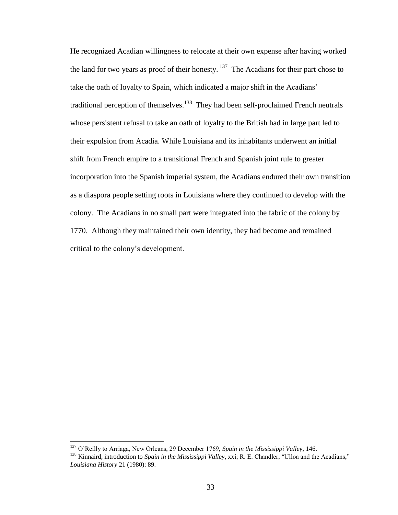He recognized Acadian willingness to relocate at their own expense after having worked the land for two years as proof of their honesty.  $137$  The Acadians for their part chose to take the oath of loyalty to Spain, which indicated a major shift in the Acadians" traditional perception of themselves.<sup>138</sup> They had been self-proclaimed French neutrals whose persistent refusal to take an oath of loyalty to the British had in large part led to their expulsion from Acadia. While Louisiana and its inhabitants underwent an initial shift from French empire to a transitional French and Spanish joint rule to greater incorporation into the Spanish imperial system, the Acadians endured their own transition as a diaspora people setting roots in Louisiana where they continued to develop with the colony. The Acadians in no small part were integrated into the fabric of the colony by 1770. Although they maintained their own identity, they had become and remained critical to the colony"s development.

<sup>137</sup> O"Reilly to Arriaga, New Orleans, 29 December 1769, *Spain in the Mississippi Valley*, 146.

<sup>138</sup> Kinnaird, introduction to *Spain in the Mississippi Valley*, xxi; R. E. Chandler, "Ulloa and the Acadians," *Louisiana History* 21 (1980): 89.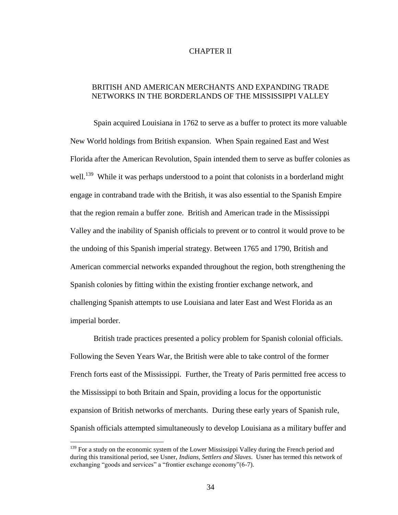#### CHAPTER II

## BRITISH AND AMERICAN MERCHANTS AND EXPANDING TRADE NETWORKS IN THE BORDERLANDS OF THE MISSISSIPPI VALLEY

Spain acquired Louisiana in 1762 to serve as a buffer to protect its more valuable New World holdings from British expansion. When Spain regained East and West Florida after the American Revolution, Spain intended them to serve as buffer colonies as well.<sup>139</sup> While it was perhaps understood to a point that colonists in a borderland might engage in contraband trade with the British, it was also essential to the Spanish Empire that the region remain a buffer zone. British and American trade in the Mississippi Valley and the inability of Spanish officials to prevent or to control it would prove to be the undoing of this Spanish imperial strategy. Between 1765 and 1790, British and American commercial networks expanded throughout the region, both strengthening the Spanish colonies by fitting within the existing frontier exchange network, and challenging Spanish attempts to use Louisiana and later East and West Florida as an imperial border.

British trade practices presented a policy problem for Spanish colonial officials. Following the Seven Years War, the British were able to take control of the former French forts east of the Mississippi. Further, the Treaty of Paris permitted free access to the Mississippi to both Britain and Spain, providing a locus for the opportunistic expansion of British networks of merchants. During these early years of Spanish rule, Spanish officials attempted simultaneously to develop Louisiana as a military buffer and

<sup>&</sup>lt;sup>139</sup> For a study on the economic system of the Lower Mississippi Valley during the French period and during this transitional period, see Usner, *Indians, Settlers and Slaves*. Usner has termed this network of exchanging "goods and services" a "frontier exchange economy"(6-7).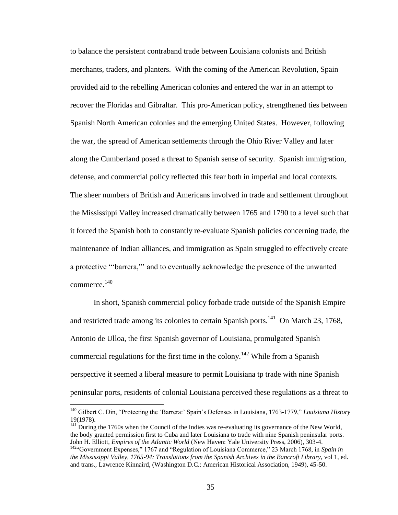to balance the persistent contraband trade between Louisiana colonists and British merchants, traders, and planters. With the coming of the American Revolution, Spain provided aid to the rebelling American colonies and entered the war in an attempt to recover the Floridas and Gibraltar. This pro-American policy, strengthened ties between Spanish North American colonies and the emerging United States. However, following the war, the spread of American settlements through the Ohio River Valley and later along the Cumberland posed a threat to Spanish sense of security. Spanish immigration, defense, and commercial policy reflected this fear both in imperial and local contexts. The sheer numbers of British and Americans involved in trade and settlement throughout the Mississippi Valley increased dramatically between 1765 and 1790 to a level such that it forced the Spanish both to constantly re-evaluate Spanish policies concerning trade, the maintenance of Indian alliances, and immigration as Spain struggled to effectively create a protective ""barrera,"" and to eventually acknowledge the presence of the unwanted commerce.<sup>140</sup>

In short, Spanish commercial policy forbade trade outside of the Spanish Empire and restricted trade among its colonies to certain Spanish ports.<sup>141</sup> On March 23, 1768, Antonio de Ulloa, the first Spanish governor of Louisiana, promulgated Spanish commercial regulations for the first time in the colony.<sup>142</sup> While from a Spanish perspective it seemed a liberal measure to permit Louisiana tp trade with nine Spanish peninsular ports, residents of colonial Louisiana perceived these regulations as a threat to

<sup>&</sup>lt;sup>140</sup> Gilbert C. Din, "Protecting the 'Barrera:' Spain's Defenses in Louisiana, 1763-1779," *Louisiana History* 19(1978).

<sup>&</sup>lt;sup>141</sup> During the 1760s when the Council of the Indies was re-evaluating its governance of the New World, the body granted permission first to Cuba and later Louisiana to trade with nine Spanish peninsular ports. John H. Elliott, *Empires of the Atlantic World* (New Haven: Yale University Press, 2006), 303-4.

<sup>142</sup>"Government Expenses," 1767 and "Regulation of Louisiana Commerce," 23 March 1768, in *Spain in the Mississippi Valley, 1765-94: Translations from the Spanish Archives in the Bancroft Library*, vol 1, ed. and trans., Lawrence Kinnaird, (Washington D.C.: American Historical Association, 1949), 45-50.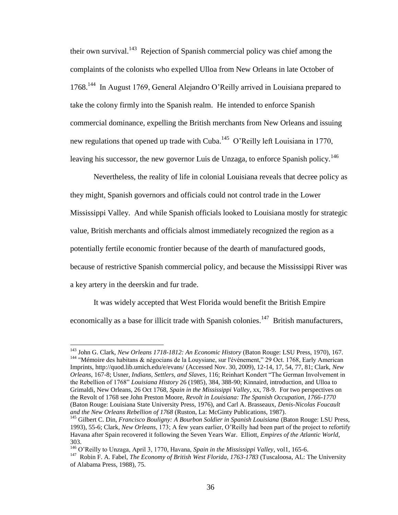their own survival.<sup>143</sup> Rejection of Spanish commercial policy was chief among the complaints of the colonists who expelled Ulloa from New Orleans in late October of 1768.<sup>144</sup> In August 1769, General Alejandro O'Reilly arrived in Louisiana prepared to take the colony firmly into the Spanish realm. He intended to enforce Spanish commercial dominance, expelling the British merchants from New Orleans and issuing new regulations that opened up trade with Cuba.<sup>145</sup> O'Reilly left Louisiana in 1770, leaving his successor, the new governor Luis de Unzaga, to enforce Spanish policy.<sup>146</sup>

Nevertheless, the reality of life in colonial Louisiana reveals that decree policy as they might, Spanish governors and officials could not control trade in the Lower Mississippi Valley. And while Spanish officials looked to Louisiana mostly for strategic value, British merchants and officials almost immediately recognized the region as a potentially fertile economic frontier because of the dearth of manufactured goods, because of restrictive Spanish commercial policy, and because the Mississippi River was a key artery in the deerskin and fur trade.

It was widely accepted that West Florida would benefit the British Empire economically as a base for illicit trade with Spanish colonies.<sup>147</sup> British manufacturers,

<sup>143</sup> John G. Clark, *New Orleans 1718-1812: An Economic History* (Baton Rouge: LSU Press, 1970), 167. <sup>144</sup> "Mémoire des habitans & négocians de la Louysiane, sur l'événement," 29 Oct. 1768, Early American Imprints, http://quod.lib.umich.edu/e/evans/ (Accessed Nov. 30, 2009), 12-14, 17, 54, 77, 81; Clark, *New Orleans*, 167-8; Usner, *Indians, Settlers, and Slaves*, 116; Reinhart Kondert "The German Involvement in the Rebellion of 1768" *Louisiana History* 26 (1985), 384, 388-90; Kinnaird, introduction, and Ulloa to Grimaldi, New Orleans, 26 Oct 1768, *Spain in the Mississippi Valley*, xx, 78-9. For two perspectives on the Revolt of 1768 see John Preston Moore, *Revolt in Louisiana: The Spanish Occupation, 1766-1770*  (Baton Rouge: Louisiana State University Press, 1976), and Carl A. Brasseaux, *Denis-Nicolas Foucault and the New Orleans Rebellion of 1768* (Ruston, La: McGinty Publications, 1987).

<sup>&</sup>lt;sup>145</sup> Gilbert C. Din, *Francisco Bouligny: A Bourbon Soldier in Spanish Louisiana* (Baton Rouge: LSU Press, 1993), 55-6; Clark, *New Orleans*, 173; A few years earlier, O"Reilly had been part of the project to refortify Havana after Spain recovered it following the Seven Years War. Elliott, *Empires of the Atlantic World*, 303.

<sup>146</sup> O"Reilly to Unzaga, April 3, 1770, Havana, *Spain in the Mississippi Valley*, vol1, 165-6.

<sup>&</sup>lt;sup>147</sup> Robin F. A. Fabel, *The Economy of British West Florida, 1763-1783* (Tuscaloosa, AL: The University of Alabama Press, 1988), 75.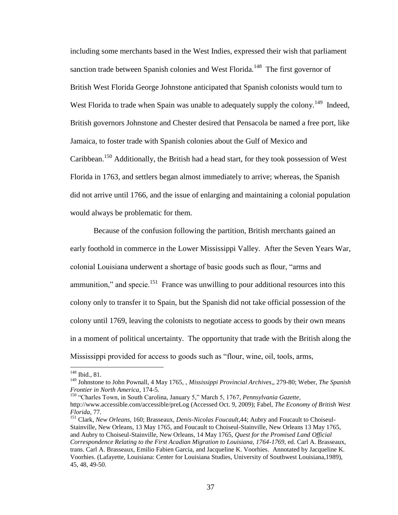including some merchants based in the West Indies, expressed their wish that parliament sanction trade between Spanish colonies and West Florida.<sup>148</sup> The first governor of British West Florida George Johnstone anticipated that Spanish colonists would turn to West Florida to trade when Spain was unable to adequately supply the colony.<sup>149</sup> Indeed, British governors Johnstone and Chester desired that Pensacola be named a free port, like Jamaica, to foster trade with Spanish colonies about the Gulf of Mexico and Caribbean.<sup>150</sup> Additionally, the British had a head start, for they took possession of West Florida in 1763, and settlers began almost immediately to arrive; whereas, the Spanish did not arrive until 1766, and the issue of enlarging and maintaining a colonial population would always be problematic for them.

Because of the confusion following the partition, British merchants gained an early foothold in commerce in the Lower Mississippi Valley. After the Seven Years War, colonial Louisiana underwent a shortage of basic goods such as flour, "arms and ammunition," and specie. $151$  France was unwilling to pour additional resources into this colony only to transfer it to Spain, but the Spanish did not take official possession of the colony until 1769, leaving the colonists to negotiate access to goods by their own means in a moment of political uncertainty. The opportunity that trade with the British along the Mississippi provided for access to goods such as "flour, wine, oil, tools, arms,

<sup>&</sup>lt;sup>148</sup> Ibid., 81.

<sup>149</sup> Johnstone to John Pownall, 4 May 1765, , *Mississippi Provincial Archives,*, 279-80; Weber, *The Spanish Frontier in North America*, 174-5.

<sup>150</sup> "Charles Town, in South Carolina, January 5," March 5, 1767, *Pennsylvania Gazette,* http://www.accessible.com/accessible/preLog (Accessed Oct. 9, 2009); Fabel, *The Economy of British West Florida*, 77.

<sup>151</sup> Clark, *New Orleans*, 160; Brasseaux, *Denis-Nicolas Foucault*,44; Aubry and Foucault to Choiseul-Stainville, New Orleans, 13 May 1765, and Foucault to Choiseul-Stainville, New Orleans 13 May 1765, and Aubry to Choiseul-Stainville, New Orleans, 14 May 1765, *Quest for the Promised Land Official Correspondence Relating to the First Acadian Migration to Louisiana, 1764-1769*, ed. Carl A. Brasseaux, trans. Carl A. Brasseaux, Emilio Fabien Garcia, and Jacqueline K. Voorhies. Annotated by Jacqueline K. Voorhies. (Lafayette, Louisiana: Center for Louisiana Studies, University of Southwest Louisiana,1989), 45, 48, 49-50.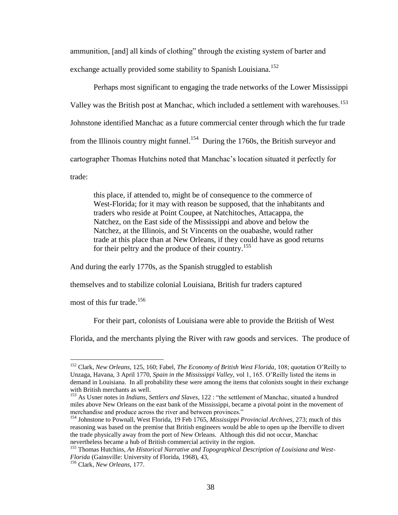ammunition, [and] all kinds of clothing" through the existing system of barter and exchange actually provided some stability to Spanish Louisiana.<sup>152</sup>

Perhaps most significant to engaging the trade networks of the Lower Mississippi Valley was the British post at Manchac, which included a settlement with warehouses.<sup>153</sup> Johnstone identified Manchac as a future commercial center through which the fur trade from the Illinois country might funnel.<sup>154</sup> During the 1760s, the British surveyor and cartographer Thomas Hutchins noted that Manchac"s location situated it perfectly for trade:

this place, if attended to, might be of consequence to the commerce of West-Florida; for it may with reason be supposed, that the inhabitants and traders who reside at Point Coupee, at Natchitoches, Attacappa, the Natchez, on the East side of the Mississippi and above and below the Natchez, at the Illinois, and St Vincents on the ouabashe, would rather trade at this place than at New Orleans, if they could have as good returns for their peltry and the produce of their country.<sup>155</sup>

And during the early 1770s, as the Spanish struggled to establish

themselves and to stabilize colonial Louisiana, British fur traders captured

most of this fur trade.<sup>156</sup>

 $\overline{a}$ 

For their part, colonists of Louisiana were able to provide the British of West

Florida, and the merchants plying the River with raw goods and services. The produce of

<sup>152</sup> Clark, *New Orleans*, 125, 160; Fabel, *The Economy of British West Florida*, 108; quotation O"Reilly to Unzaga, Havana, 3 April 1770, *Spain in the Mississippi Valley,* vol 1, 165. O"Reilly listed the items in demand in Louisiana. In all probability these were among the items that colonists sought in their exchange with British merchants as well.

<sup>153</sup> As Usner notes in *Indians, Settlers and Slaves*, 122 : "the settlement of Manchac, situated a hundred miles above New Orleans on the east bank of the Mississippi, became a pivotal point in the movement of merchandise and produce across the river and between provinces."

<sup>154</sup> Johnstone to Pownall, West Florida, 19 Feb 1765, *Mississippi Provincial Archives,* 273; much of this reasoning was based on the premise that British engineers would be able to open up the Iberville to divert the trade physically away from the port of New Orleans. Although this did not occur, Manchac nevertheless became a hub of British commercial activity in the region.

<sup>155</sup> Thomas Hutchins, *An Historical Narrative and Topographical Description of Louisiana and West-Florida* (Gainsville: University of Florida, 1968), 43,

<sup>156</sup> Clark, *New Orleans*, 177.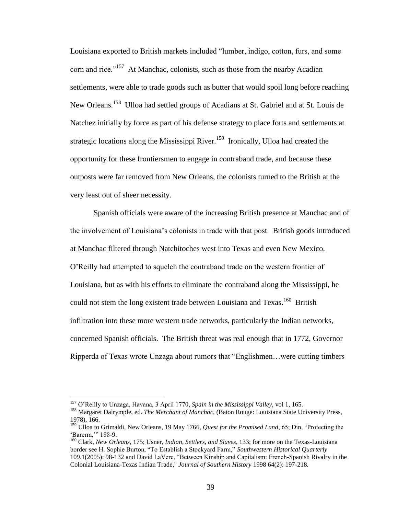Louisiana exported to British markets included "lumber, indigo, cotton, furs, and some corn and rice."<sup>157</sup> At Manchac, colonists, such as those from the nearby Acadian settlements, were able to trade goods such as butter that would spoil long before reaching New Orleans.<sup>158</sup> Ulloa had settled groups of Acadians at St. Gabriel and at St. Louis de Natchez initially by force as part of his defense strategy to place forts and settlements at strategic locations along the Mississippi River.<sup>159</sup> Ironically, Ulloa had created the opportunity for these frontiersmen to engage in contraband trade, and because these outposts were far removed from New Orleans, the colonists turned to the British at the very least out of sheer necessity.

Spanish officials were aware of the increasing British presence at Manchac and of the involvement of Louisiana"s colonists in trade with that post. British goods introduced at Manchac filtered through Natchitoches west into Texas and even New Mexico. O"Reilly had attempted to squelch the contraband trade on the western frontier of Louisiana, but as with his efforts to eliminate the contraband along the Mississippi, he could not stem the long existent trade between Louisiana and Texas.<sup>160</sup> British infiltration into these more western trade networks, particularly the Indian networks, concerned Spanish officials. The British threat was real enough that in 1772, Governor Ripperda of Texas wrote Unzaga about rumors that "Englishmen…were cutting timbers

<sup>157</sup> O"Reilly to Unzaga, Havana, 3 April 1770, *Spain in the Mississippi Valley,* vol 1, 165.

<sup>158</sup> Margaret Dalrymple, ed. *The Merchant of Manchac*, (Baton Rouge: Louisiana State University Press, 1978), 166.

<sup>159</sup> Ulloa to Grimaldi, New Orleans, 19 May 1766, *Quest for the Promised Land*, 65; Din, "Protecting the "Barerra," 188-9.

<sup>160</sup> Clark, *New Orleans,* 175; Usner, *Indian, Settlers, and Slaves*, 133; for more on the Texas-Louisiana border see H. Sophie Burton, "To Establish a Stockyard Farm," *Southwestern Historical Quarterly*  109.1(2005): 98-132 and David LaVere, "Between Kinship and Capitalism: French-Spanish Rivalry in the Colonial Louisiana-Texas Indian Trade," *[Journal of Southern History](javascript:__doLinkPostBack()* 1998 64(2): 197-218*.*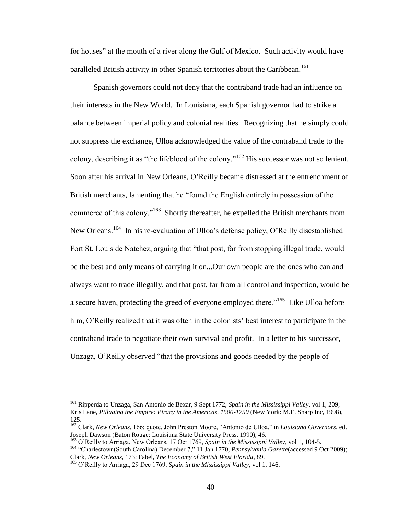for houses" at the mouth of a river along the Gulf of Mexico. Such activity would have paralleled British activity in other Spanish territories about the Caribbean.<sup>161</sup>

Spanish governors could not deny that the contraband trade had an influence on their interests in the New World. In Louisiana, each Spanish governor had to strike a balance between imperial policy and colonial realities. Recognizing that he simply could not suppress the exchange, Ulloa acknowledged the value of the contraband trade to the colony, describing it as "the lifeblood of the colony."<sup>162</sup> His successor was not so lenient. Soon after his arrival in New Orleans, O"Reilly became distressed at the entrenchment of British merchants, lamenting that he "found the English entirely in possession of the commerce of this colony."<sup>163</sup> Shortly thereafter, he expelled the British merchants from New Orleans.<sup>164</sup> In his re-evaluation of Ulloa's defense policy, O'Reilly disestablished Fort St. Louis de Natchez, arguing that "that post, far from stopping illegal trade, would be the best and only means of carrying it on...Our own people are the ones who can and always want to trade illegally, and that post, far from all control and inspection, would be a secure haven, protecting the greed of everyone employed there."<sup>165</sup> Like Ulloa before him, O'Reilly realized that it was often in the colonists' best interest to participate in the contraband trade to negotiate their own survival and profit. In a letter to his successor, Unzaga, O"Reilly observed "that the provisions and goods needed by the people of

<sup>161</sup> Ripperda to Unzaga, San Antonio de Bexar, 9 Sept 1772, *Spain in the Mississippi Valley*, vol 1, 209; Kris Lane, *Pillaging the Empire: Piracy in the Americas, 1500-1750* (New York: M.E. Sharp Inc, 1998), 125.

<sup>162</sup> Clark, *New Orleans*, 166; quote, John Preston Moore, "Antonio de Ulloa," in *Louisiana Governors*, ed. Joseph Dawson (Baton Rouge: Louisiana State University Press, 1990), 46.

<sup>163</sup> O"Reilly to Arriaga, New Orleans, 17 Oct 1769, *Spain in the Mississippi Valley*, vol 1, 104-5.

<sup>164</sup> "Charlestown(South Carolina) December 7," 11 Jan 1770, *Pennsylvania Gazette*(accessed 9 Oct 2009); Clark, *New Orleans,* 173; Fabel, *The Economy of British West Florida*, 89.

<sup>165</sup> O"Reilly to Arriaga, 29 Dec 1769, *Spain in the Mississippi Valley*, vol 1, 146.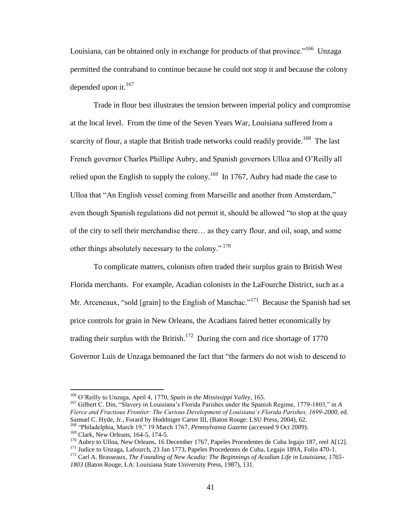Louisiana, can be obtained only in exchange for products of that province."<sup>166</sup> Unzaga permitted the contraband to continue because he could not stop it and because the colony depended upon it.<sup>167</sup>

Trade in flour best illustrates the tension between imperial policy and compromise at the local level. From the time of the Seven Years War, Louisiana suffered from a scarcity of flour, a staple that British trade networks could readily provide.<sup>168</sup> The last French governor Charles Phillipe Aubry, and Spanish governors Ulloa and O"Reilly all relied upon the English to supply the colony.<sup>169</sup> In 1767, Aubry had made the case to Ulloa that "An English vessel coming from Marseille and another from Amsterdam," even though Spanish regulations did not permit it, should be allowed "to stop at the quay of the city to sell their merchandise there… as they carry flour, and oil, soap, and some other things absolutely necessary to the colony."<sup>170</sup>

To complicate matters, colonists often traded their surplus grain to British West Florida merchants. For example, Acadian colonists in the LaFourche District, such as a Mr. Arceneaux, "sold [grain] to the English of Manchac."<sup>171</sup> Because the Spanish had set price controls for grain in New Orleans, the Acadians faired better economically by trading their surplus with the British.<sup>172</sup> During the corn and rice shortage of 1770 Governor Luis de Unzaga bemoaned the fact that "the farmers do not wish to descend to

<sup>166</sup> O"Reilly to Unzaga, April 4, 1770, *Spain in the Mississippi Valley*, 165.

<sup>167</sup> Gilbert C. Din, "Slavery in Louisiana"s Florida Parishes under the Spanish Regime, 1779-1803," in *A Fierce and Fractious Frontier: The Curious Development of Louisiana's Florida Parishes, 1699-2000*, ed. Samuel C. Hyde, Jr., Forard by Hoddniger Carter III, (Baton Rouge: LSU Press, 2004), 62.

<sup>&</sup>lt;sup>168</sup> "Philadelphia, March 19," 19 March 1767, *Pennsylvania Gazette* (accessed 9 Oct 2009). <sup>169</sup> Clark, New Orleans, 164-5, 174-5.

<sup>&</sup>lt;sup>170</sup> Aubry to Ulloa, New Orleans, 16 December 1767, Papeles Procedentes de Cuba legajo 187, reel A[12]. <sup>171</sup> Judice to Unzaga, Lafourch, 23 Jan 1773, Papeles Procedentes de Cuba, Legajo 189A, Folio 470-1.

<sup>172</sup> Carl A. Brasseaux, *The Founding of New Acadia: The Beginnings of Acadian Life in Louisiana, 1765- 1803* (Baton Rouge, LA: Louisiana State University Press, 1987), 131.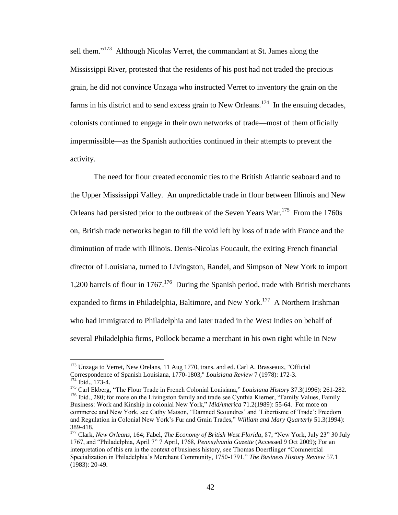sell them."<sup>173</sup> Although Nicolas Verret, the commandant at St. James along the Mississippi River, protested that the residents of his post had not traded the precious grain, he did not convince Unzaga who instructed Verret to inventory the grain on the farms in his district and to send excess grain to New Orleans.<sup>174</sup> In the ensuing decades, colonists continued to engage in their own networks of trade—most of them officially impermissible—as the Spanish authorities continued in their attempts to prevent the activity.

The need for flour created economic ties to the British Atlantic seaboard and to the Upper Mississippi Valley. An unpredictable trade in flour between Illinois and New Orleans had persisted prior to the outbreak of the Seven Years War.<sup>175</sup> From the 1760s on, British trade networks began to fill the void left by loss of trade with France and the diminution of trade with Illinois. Denis-Nicolas Foucault, the exiting French financial director of Louisiana, turned to Livingston, Randel, and Simpson of New York to import 1,200 barrels of flour in  $1767$ .<sup>176</sup> During the Spanish period, trade with British merchants expanded to firms in Philadelphia, Baltimore, and New York.<sup>177</sup> A Northern Irishman who had immigrated to Philadelphia and later traded in the West Indies on behalf of several Philadelphia firms, Pollock became a merchant in his own right while in New

<sup>&</sup>lt;sup>173</sup> Unzaga to Verret, New Orelans, 11 Aug 1770, trans. and ed. Carl A. Brasseaux, "Official Correspondence of Spanish Louisiana, 1770-1803," *Louisiana Review* 7 (1978): 172-3. <sup>174</sup> Ibid., 173-4.

<sup>175</sup> Carl Ekberg, "The Flour Trade in French Colonial Louisiana," *Louisiana History* 37.3(1996): 261-282. <sup>176</sup> Ibid., 280; for more on the Livingston family and trade see Cynthia Kierner, "Family Values, Family Business: Work and Kinship in colonial New York," *MidAmerica* 71.2(1989): 55-64. For more on commerce and New York, see Cathy Matson, "Damned Scoundres' and 'Libertisme of Trade': Freedom and Regulation in Colonial New York"s Fur and Grain Trades," *William and Mary Quarterly* 51.3(1994): 389-418.

<sup>177</sup> Clark, *New Orleans*, 164; Fabel, *The Economy of British West Florida*, 87; "New York, July 23" 30 July 1767, and "Philadelphia, April 7" 7 April, 1768, *Pennsylvania Gazette* (Accessed 9 Oct 2009); For an interpretation of this era in the context of business history, see Thomas Doerflinger "Commercial Specialization in Philadelphia"s Merchant Community, 1750-1791," *The Business History Review* 57.1 (1983): 20-49.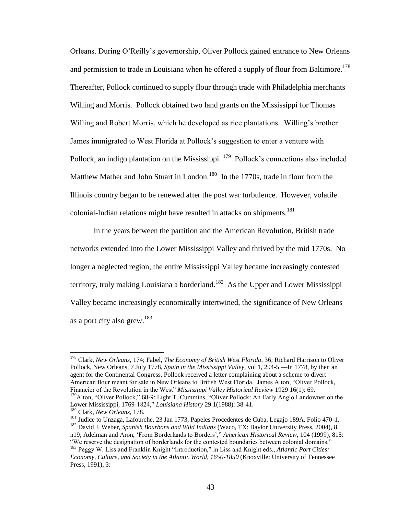Orleans. During O"Reilly"s governorship, Oliver Pollock gained entrance to New Orleans and permission to trade in Louisiana when he offered a supply of flour from Baltimore.<sup>178</sup> Thereafter, Pollock continued to supply flour through trade with Philadelphia merchants Willing and Morris. Pollock obtained two land grants on the Mississippi for Thomas Willing and Robert Morris, which he developed as rice plantations. Willing"s brother James immigrated to West Florida at Pollock"s suggestion to enter a venture with Pollock, an indigo plantation on the Mississippi. <sup>179</sup> Pollock's connections also included Matthew Mather and John Stuart in London.<sup>180</sup> In the 1770s, trade in flour from the Illinois country began to be renewed after the post war turbulence. However, volatile colonial-Indian relations might have resulted in attacks on shipments.<sup>181</sup>

In the years between the partition and the American Revolution, British trade networks extended into the Lower Mississippi Valley and thrived by the mid 1770s. No longer a neglected region, the entire Mississippi Valley became increasingly contested territory, truly making Louisiana a borderland.<sup>182</sup> As the Upper and Lower Mississippi Valley became increasingly economically intertwined, the significance of New Orleans as a port city also grew.<sup>183</sup>

<sup>178</sup> Clark, *New Orleans*, 174; Fabel, *The Economy of British West Florida*, 36; Richard Harrison to Oliver Pollock, New Orleans, 7 July 1778, *Spain in the Mississippi Valley,* vol 1, 294-5 —In 1778, by then an agent for the Continental Congress, Pollock received a letter complaining about a scheme to divert American flour meant for sale in New Orleans to British West Florida. James Alton, "Oliver Pollock, Financier of the Revolution in the West" *Mississippi Valley Historical Review* 1929 16(1): 69. <sup>179</sup>Alton, "Oliver Pollock," 68-9; Light T. Cummins, "Oliver Pollock: An Early Anglo Landowner on the Lower Mississippi, 1769-1824," *Louisiana History* 29.1(1988): 38-41.

<sup>180</sup> Clark, *New Orleans*, 178.

<sup>&</sup>lt;sup>181</sup> Judice to Unzaga, Lafourche, 23 Jan 1773, Papeles Procedentes de Cuba, Legajo 189A, Folio 470-1. <sup>182</sup> David J. Weber, *Spanish Bourbons and Wild Indians* (Waco, TX: Baylor University Press, 2004), 8, n19; Adelman and Aron, "From Borderlands to Borders"," *American Historical Review*, 104 (1999), 815:

<sup>&</sup>quot;We reserve the designation of borderlands for the contested boundaries between colonial domains." <sup>183</sup> Peggy W. Liss and Franklin Knight "Introduction," in Liss and Knight eds., *Atlantic Port Cities:* 

*Economy, Culture, and Society in the Atlantic World, 1650-1850* (Knoxville: University of Tennessee Press, 1991), 3: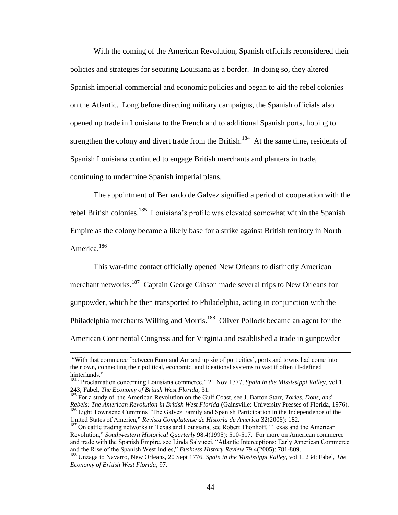With the coming of the American Revolution, Spanish officials reconsidered their policies and strategies for securing Louisiana as a border. In doing so, they altered Spanish imperial commercial and economic policies and began to aid the rebel colonies on the Atlantic. Long before directing military campaigns, the Spanish officials also opened up trade in Louisiana to the French and to additional Spanish ports, hoping to strengthen the colony and divert trade from the British.<sup>184</sup> At the same time, residents of Spanish Louisiana continued to engage British merchants and planters in trade, continuing to undermine Spanish imperial plans.

The appointment of Bernardo de Galvez signified a period of cooperation with the rebel British colonies.<sup>185</sup> Louisiana's profile was elevated somewhat within the Spanish Empire as the colony became a likely base for a strike against British territory in North America.<sup>186</sup>

This war-time contact officially opened New Orleans to distinctly American merchant networks.<sup>187</sup> Captain George Gibson made several trips to New Orleans for gunpowder, which he then transported to Philadelphia, acting in conjunction with the Philadelphia merchants Willing and Morris.<sup>188</sup> Oliver Pollock became an agent for the American Continental Congress and for Virginia and established a trade in gunpowder

<sup>&</sup>quot;With that commerce [between Euro and Am and up sig of port cities], ports and towns had come into their own, connecting their political, economic, and ideational systems to vast if often ill-defined hinterlands."

<sup>184</sup> "Proclamation concerning Louisiana commerce," 21 Nov 1777, *Spain in the Mississippi Valley*, vol 1, 243; Fabel, *The Economy of British West Florida,* 31.

<sup>&</sup>lt;sup>185</sup> For a study of the American Revolution on the Gulf Coast, see J. Barton Starr, *Tories, Dons, and Rebels: The American Revolution in British West Florida* (Gainsville: University Presses of Florida, 1976). <sup>186</sup> Light Townsend Cummins "The Galvez Family and Spanish Participation in the Independence of the United States of America," *Revista Complutense de Historia de America* 32(2006): 182.

<sup>&</sup>lt;sup>187</sup> On cattle trading networks in Texas and Louisiana, see Robert Thonhoff, "Texas and the American Revolution," *Southwestern Historical Quarterly* 98.4(1995): 510-517. For more on American commerce and trade with the Spanish Empire, see Linda Salvucci, "Atlantic Interceptions: Early American Commerce and the Rise of the Spanish West Indies," *Business History Review* 79.4(2005): 781-809.

<sup>188</sup> Unzaga to Navarro, New Orleans, 20 Sept 1776, *Spain in the Mississippi Valley*, vol 1, 234; Fabel, *The Economy of British West Florida,* 97.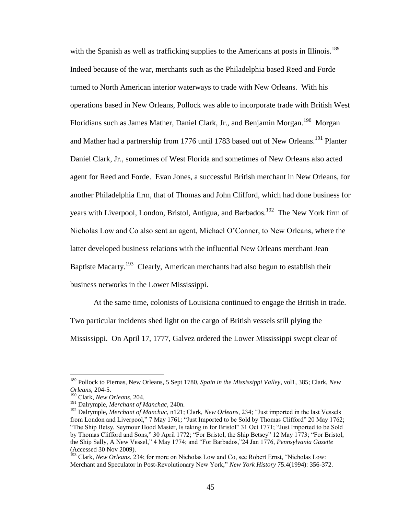with the Spanish as well as trafficking supplies to the Americans at posts in Illinois.<sup>189</sup> Indeed because of the war, merchants such as the Philadelphia based Reed and Forde turned to North American interior waterways to trade with New Orleans. With his operations based in New Orleans, Pollock was able to incorporate trade with British West Floridians such as James Mather, Daniel Clark, Jr., and Benjamin Morgan.<sup>190</sup> Morgan and Mather had a partnership from 1776 until 1783 based out of New Orleans.<sup>191</sup> Planter Daniel Clark, Jr., sometimes of West Florida and sometimes of New Orleans also acted agent for Reed and Forde. Evan Jones, a successful British merchant in New Orleans, for another Philadelphia firm, that of Thomas and John Clifford, which had done business for years with Liverpool, London, Bristol, Antigua, and Barbados.<sup>192</sup> The New York firm of Nicholas Low and Co also sent an agent, Michael O"Conner, to New Orleans, where the latter developed business relations with the influential New Orleans merchant Jean Baptiste Macarty.<sup>193</sup> Clearly, American merchants had also begun to establish their business networks in the Lower Mississippi.

At the same time, colonists of Louisiana continued to engage the British in trade. Two particular incidents shed light on the cargo of British vessels still plying the Mississippi. On April 17, 1777, Galvez ordered the Lower Mississippi swept clear of

<sup>189</sup> Pollock to Piernas, New Orleans, 5 Sept 1780, *Spain in the Mississippi Valley*, vol1, 385; Clark, *New Orleans*, 204-5.

<sup>190</sup> Clark, *New Orleans*, 204.

<sup>191</sup> Dalrymple, *Merchant of Manchac*, 240n.

<sup>192</sup> Dalrymple, *Merchant of Manchac*, n121; Clark, *New Orleans*, 234; "Just imported in the last Vessels from London and Liverpool," 7 May 1761; "Just Imported to be Sold by Thomas Clifford" 20 May 1762; "The Ship Betsy, Seymour Hood Master, Is taking in for Bristol" 31 Oct 1771; "Just Imported to be Sold by Thomas Clifford and Sons," 30 April 1772; "For Bristol, the Ship Betsey" 12 May 1773; "For Bristol, the Ship Sally, A New Vessel," 4 May 1774; and "For Barbados,"24 Jan 1776, *Pennsylvania Gazette* (Accessed 30 Nov 2009).

<sup>&</sup>lt;sup>193</sup> Clark, *New Orleans*, 234; for more on Nicholas Low and Co, see Robert Ernst, "Nicholas Low: Merchant and Speculator in Post-Revolutionary New York," *New York History* 75.4(1994): 356-372.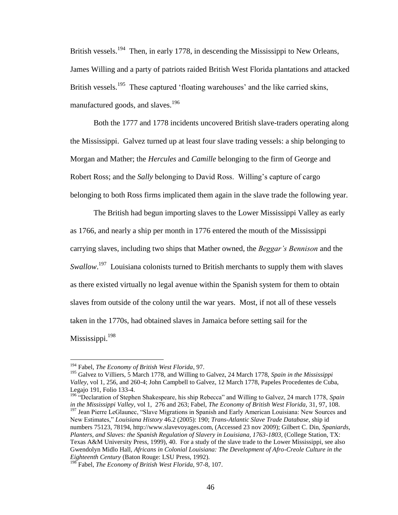British vessels.<sup>194</sup> Then, in early 1778, in descending the Mississippi to New Orleans, James Willing and a party of patriots raided British West Florida plantations and attacked British vessels.<sup>195</sup> These captured 'floating warehouses' and the like carried skins, manufactured goods, and slaves.<sup>196</sup>

Both the 1777 and 1778 incidents uncovered British slave-traders operating along the Mississippi. Galvez turned up at least four slave trading vessels: a ship belonging to Morgan and Mather; the *Hercules* and *Camille* belonging to the firm of George and Robert Ross; and the *Sally* belonging to David Ross. Willing"s capture of cargo belonging to both Ross firms implicated them again in the slave trade the following year.

The British had begun importing slaves to the Lower Mississippi Valley as early as 1766, and nearly a ship per month in 1776 entered the mouth of the Mississippi carrying slaves, including two ships that Mather owned, the *Beggar's Bennison* and the *Swallow*.<sup>197</sup> Louisiana colonists turned to British merchants to supply them with slaves as there existed virtually no legal avenue within the Spanish system for them to obtain slaves from outside of the colony until the war years. Most, if not all of these vessels taken in the 1770s, had obtained slaves in Jamaica before setting sail for the Mississippi.<sup>198</sup>

<sup>194</sup> Fabel, *The Economy of British West Florida*, 97.

<sup>195</sup> Galvez to Villiers, 5 March 1778, and Willing to Galvez, 24 March 1778, *Spain in the Mississippi Valley*, vol 1, 256, and 260-4; John Campbell to Galvez, 12 March 1778, Papeles Procedentes de Cuba, Legajo 191, Folio 133-4.

<sup>196</sup> "Declaration of Stephen Shakespeare, his ship Rebecca" and Willing to Galvez, 24 march 1778, *Spain in the Mississippi Valley,* vol 1, 276 and 263; Fabel, *The Economy of British West Florida,* 31, 97, 108. <sup>197</sup> Jean Pierre LeGlaunec, "Slave Migrations in Spanish and Early American Louisiana: New Sources and New Estimates," *Louisiana History* 46.2 (2005): 190; *Trans-Atlantic Slave Trade Database*, ship id numbers 75123, 78194, http://www.slavevoyages.com, (Accessed 23 nov 2009); Gilbert C. Din, *Spaniards, Planters, and Slaves: the Spanish Regulation of Slavery in Louisiana, 1763-1803*, (College Station, TX: Texas A&M University Press, 1999), 40. For a study of the slave trade to the Lower Mississippi, see also Gwendolyn Midlo Hall, *Africans in Colonial Louisiana: The Development of Afro-Creole Culture in the Eighteenth Century* (Baton Rouge: LSU Press, 1992).

<sup>198</sup> Fabel, *The Economy of British West Florida,* 97-8, 107.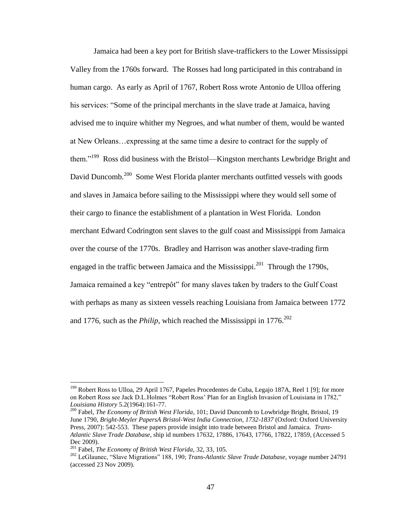Jamaica had been a key port for British slave-traffickers to the Lower Mississippi Valley from the 1760s forward. The Rosses had long participated in this contraband in human cargo. As early as April of 1767, Robert Ross wrote Antonio de Ulloa offering his services: "Some of the principal merchants in the slave trade at Jamaica, having advised me to inquire whither my Negroes, and what number of them, would be wanted at New Orleans…expressing at the same time a desire to contract for the supply of them."<sup>199</sup> Ross did business with the Bristol—Kingston merchants Lewbridge Bright and David Duncomb.<sup>200</sup> Some West Florida planter merchants outfitted vessels with goods and slaves in Jamaica before sailing to the Mississippi where they would sell some of their cargo to finance the establishment of a plantation in West Florida. London merchant Edward Codrington sent slaves to the gulf coast and Mississippi from Jamaica over the course of the 1770s. Bradley and Harrison was another slave-trading firm engaged in the traffic between Jamaica and the Mississippi. $^{201}$  Through the 1790s, Jamaica remained a key "entrepôt" for many slaves taken by traders to the Gulf Coast with perhaps as many as sixteen vessels reaching Louisiana from Jamaica between 1772 and 1776, such as the *Philip*, which reached the Mississippi in  $1776$ <sup>202</sup>

<sup>&</sup>lt;sup>199</sup> Robert Ross to Ulloa, 29 April 1767, Papeles Procedentes de Cuba, Legajo 187A, Reel 1 [9]; for more on Robert Ross see Jack D.L.Holmes "Robert Ross" Plan for an English Invasion of Louisiana in 1782," *Louisiana History* 5.2(1964):161-77.

<sup>200</sup> Fabel, *The Economy of British West Florida*, 101; David Duncomb to Lowbridge Bright, Bristol, 19 June 1790, *Bright-Meyler PapersA Bristol-West India Connection, 1732-1837* (Oxford: Oxford University Press, 2007): 542-553. These papers provide insight into trade between Bristol and Jamaica. *Trans-Atlantic Slave Trade Database*, ship id numbers 17632, 17886, 17643, 17766, 17822, 17859, (Accessed 5 Dec 2009).

<sup>201</sup> Fabel, *The Economy of British West Florida,* 32, 33, 105.

<sup>202</sup> LeGlaunec, "Slave Migrations" 188, 190; *Trans-Atlantic Slave Trade Database*, voyage number 24791 (accessed 23 Nov 2009).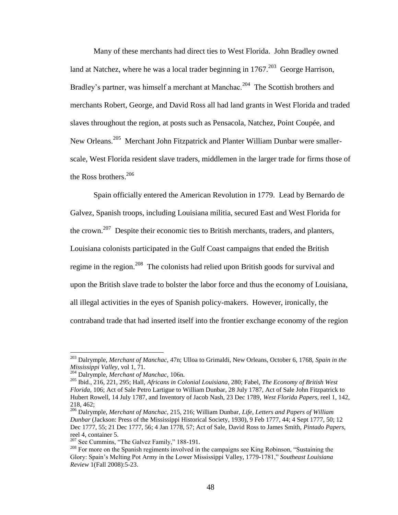Many of these merchants had direct ties to West Florida. John Bradley owned land at Natchez, where he was a local trader beginning in  $1767$ <sup>203</sup> George Harrison, Bradley's partner, was himself a merchant at Manchac.<sup>204</sup> The Scottish brothers and merchants Robert, George, and David Ross all had land grants in West Florida and traded slaves throughout the region, at posts such as Pensacola, Natchez, Point Coupée, and New Orleans.<sup>205</sup> Merchant John Fitzpatrick and Planter William Dunbar were smallerscale, West Florida resident slave traders, middlemen in the larger trade for firms those of the Ross brothers.  $206$ 

Spain officially entered the American Revolution in 1779. Lead by Bernardo de Galvez, Spanish troops, including Louisiana militia, secured East and West Florida for the crown.<sup>207</sup> Despite their economic ties to British merchants, traders, and planters, Louisiana colonists participated in the Gulf Coast campaigns that ended the British regime in the region.<sup>208</sup> The colonists had relied upon British goods for survival and upon the British slave trade to bolster the labor force and thus the economy of Louisiana, all illegal activities in the eyes of Spanish policy-makers. However, ironically, the contraband trade that had inserted itself into the frontier exchange economy of the region

<sup>203</sup> Dalrymple, *Merchant of Manchac*, 47n; Ulloa to Grimaldi, New Orleans, October 6, 1768, *Spain in the Mississippi Valley*, vol 1, 71.

<sup>204</sup> Dalrymple, *Merchant of Manchac*, 106n.

<sup>205</sup> Ibid., 216, 221, 295; Hall, *Africans in Colonial Louisiana*, 280; Fabel, *The Economy of British West Florida,* 106; Act of Sale Petro Lartigue to William Dunbar, 28 July 1787, Act of Sale John Fitzpatrick to Hubert Rowell, 14 July 1787, and Inventory of Jacob Nash, 23 Dec 1789, *West Florida Papers*, reel 1, 142, 218, 462;

<sup>206</sup> Dalrymple, *Merchant of Manchac,* 215, 216; William Dunbar, *Life, Letters and Papers of William Dunbar* (Jackson: Press of the Mississippi Historical Society, 1930), 9 Feb 1777, 44; 4 Sept 1777, 50; 12 Dec 1777, 55; 21 Dec 1777, 56; 4 Jan 1778, 57; Act of Sale, David Ross to James Smith, *Pintado Papers,* reel 4, container 5.

 $207$  See Cummins, "The Galvez Family," 188-191.

<sup>&</sup>lt;sup>208</sup> For more on the Spanish regiments involved in the campaigns see King Robinson, "Sustaining the Glory: Spain"s Melting Pot Army in the Lower Mississippi Valley, 1779-1781," *Southeast Louisiana Review* 1(Fall 2008):5-23.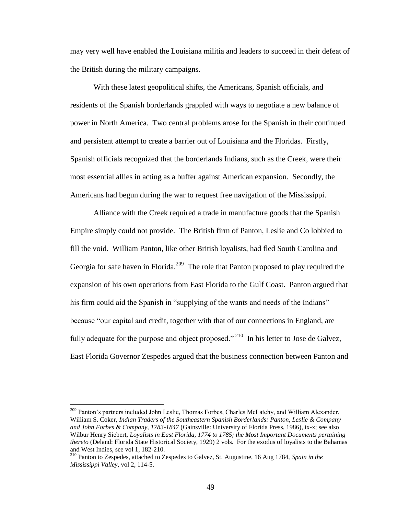may very well have enabled the Louisiana militia and leaders to succeed in their defeat of the British during the military campaigns.

With these latest geopolitical shifts, the Americans, Spanish officials, and residents of the Spanish borderlands grappled with ways to negotiate a new balance of power in North America. Two central problems arose for the Spanish in their continued and persistent attempt to create a barrier out of Louisiana and the Floridas. Firstly, Spanish officials recognized that the borderlands Indians, such as the Creek, were their most essential allies in acting as a buffer against American expansion. Secondly, the Americans had begun during the war to request free navigation of the Mississippi.

Alliance with the Creek required a trade in manufacture goods that the Spanish Empire simply could not provide. The British firm of Panton, Leslie and Co lobbied to fill the void. William Panton, like other British loyalists, had fled South Carolina and Georgia for safe haven in Florida.<sup>209</sup> The role that Panton proposed to play required the expansion of his own operations from East Florida to the Gulf Coast. Panton argued that his firm could aid the Spanish in "supplying of the wants and needs of the Indians" because "our capital and credit, together with that of our connections in England, are fully adequate for the purpose and object proposed."<sup>210</sup> In his letter to Jose de Galvez, East Florida Governor Zespedes argued that the business connection between Panton and

<sup>&</sup>lt;sup>209</sup> Panton's partners included John Leslie, Thomas Forbes, Charles McLatchy, and William Alexander. William S. Coker, *Indian Traders of the Southeastern Spanish Borderlands: Panton, Leslie & Company and John Forbes & Company, 1783-1847* (Gainsville: University of Florida Press, 1986), ix-x; see also Wilbur Henry Siebert, *Loyalists in East Florida, 1774 to 1785; the Most Important Documents pertaining thereto* (Deland: Florida State Historical Society, 1929) 2 vols. For the exodus of loyalists to the Bahamas and West Indies, see vol 1, 182-210.

<sup>210</sup> Panton to Zespedes, attached to Zespedes to Galvez, St. Augustine, 16 Aug 1784, *Spain in the Mississippi Valley*, vol 2, 114-5.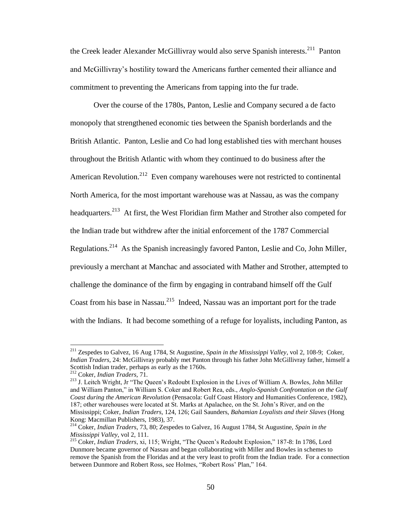the Creek leader Alexander McGillivray would also serve Spanish interests.<sup>211</sup> Panton and McGillivray"s hostility toward the Americans further cemented their alliance and commitment to preventing the Americans from tapping into the fur trade.

Over the course of the 1780s, Panton, Leslie and Company secured a de facto monopoly that strengthened economic ties between the Spanish borderlands and the British Atlantic. Panton, Leslie and Co had long established ties with merchant houses throughout the British Atlantic with whom they continued to do business after the American Revolution.<sup>212</sup> Even company warehouses were not restricted to continental North America, for the most important warehouse was at Nassau, as was the company headquarters.<sup>213</sup> At first, the West Floridian firm Mather and Strother also competed for the Indian trade but withdrew after the initial enforcement of the 1787 Commercial Regulations.<sup>214</sup> As the Spanish increasingly favored Panton, Leslie and Co, John Miller, previously a merchant at Manchac and associated with Mather and Strother, attempted to challenge the dominance of the firm by engaging in contraband himself off the Gulf Coast from his base in Nassau.<sup>215</sup> Indeed, Nassau was an important port for the trade with the Indians. It had become something of a refuge for loyalists, including Panton, as

<sup>211</sup> Zespedes to Galvez, 16 Aug 1784, St Augustine, *Spain in the Mississippi Valley*, vol 2, 108-9; Coker, *Indian Traders,* 24: McGillivray probably met Panton through his father John McGillivray father, himself a Scottish Indian trader, perhaps as early as the 1760s.

<sup>212</sup> Coker, *Indian Traders,* 71.

<sup>&</sup>lt;sup>213</sup> J. Leitch Wright, Jr "The Queen's Redoubt Explosion in the Lives of William A. Bowles, John Miller and William Panton," in William S. Coker and Robert Rea, eds., *Anglo-Spanish Confrontation on the Gulf Coast during the American Revolution* (Pensacola: Gulf Coast History and Humanities Conference, 1982), 187; other warehouses were located at St. Marks at Apalachee, on the St. John"s River, and on the Mississippi; Coker, *Indian Traders,* 124, 126; Gail Saunders, *Bahamian Loyalists and their Slaves* (Hong Kong: Macmillan Publishers, 1983), 37.

<sup>214</sup> Coker, *Indian Traders*, 73, 80; Zespedes to Galvez, 16 August 1784, St Augustine, *Spain in the Mississippi Valley*, vol 2, 111.

<sup>215</sup> Coker, *Indian Traders*, xi, 115; Wright, "The Queen"s Redoubt Explosion," 187-8: In 1786, Lord Dunmore became governor of Nassau and began collaborating with Miller and Bowles in schemes to remove the Spanish from the Floridas and at the very least to profit from the Indian trade. For a connection between Dunmore and Robert Ross, see Holmes, "Robert Ross" Plan," 164.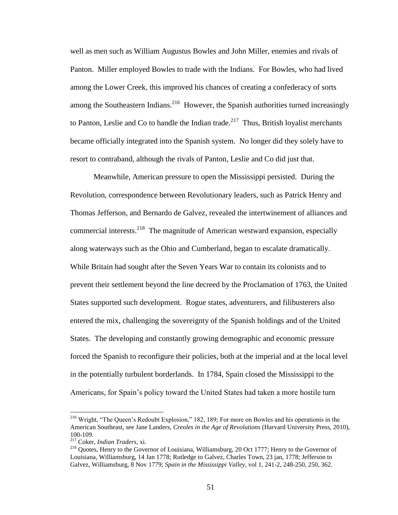well as men such as William Augustus Bowles and John Miller, enemies and rivals of Panton. Miller employed Bowles to trade with the Indians. For Bowles, who had lived among the Lower Creek, this improved his chances of creating a confederacy of sorts among the Southeastern Indians.<sup>216</sup> However, the Spanish authorities turned increasingly to Panton, Leslie and Co to handle the Indian trade.<sup>217</sup> Thus, British loyalist merchants became officially integrated into the Spanish system. No longer did they solely have to resort to contraband, although the rivals of Panton, Leslie and Co did just that.

Meanwhile, American pressure to open the Mississippi persisted. During the Revolution, correspondence between Revolutionary leaders, such as Patrick Henry and Thomas Jefferson, and Bernardo de Galvez, revealed the intertwinement of alliances and commercial interests.<sup>218</sup> The magnitude of American westward expansion, especially along waterways such as the Ohio and Cumberland, began to escalate dramatically. While Britain had sought after the Seven Years War to contain its colonists and to prevent their settlement beyond the line decreed by the Proclamation of 1763, the United States supported such development. Rogue states, adventurers, and filibusterers also entered the mix, challenging the sovereignty of the Spanish holdings and of the United States. The developing and constantly growing demographic and economic pressure forced the Spanish to reconfigure their policies, both at the imperial and at the local level in the potentially turbulent borderlands. In 1784, Spain closed the Mississippi to the Americans, for Spain"s policy toward the United States had taken a more hostile turn

<sup>&</sup>lt;sup>216</sup> Wright, "The Queen's Redoubt Explosion," 182, 189; For more on Bowles and his operationis in the American Southeast, see Jane Landers, *Creoles in the Age of Revolutions* (Harvard University Press, 2010), 100-109.

<sup>217</sup> Coker, *Indian Traders*, xi.

<sup>&</sup>lt;sup>218</sup> Quotes, Henry to the Governor of Louisiana, Williamsburg, 20 Oct 1777; Henry to the Governor of Louisiana, Williamsburg, 14 Jan 1778; Rutledge to Galvez, Charles Town, 23 jan, 1778; Jefferson to Galvez, Williamsburg, 8 Nov 1779; *Spain in the Mississippi Valley*, vol 1, 241-2, 248-250, 250, 362.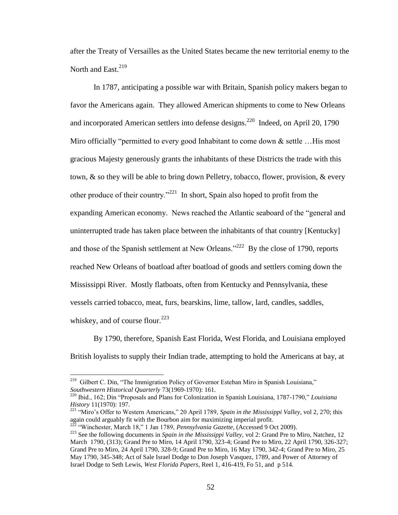after the Treaty of Versailles as the United States became the new territorial enemy to the North and East.<sup>219</sup>

In 1787, anticipating a possible war with Britain, Spanish policy makers began to favor the Americans again. They allowed American shipments to come to New Orleans and incorporated American settlers into defense designs.<sup>220</sup> Indeed, on April 20, 1790 Miro officially "permitted to every good Inhabitant to come down  $\&$  settle ... His most gracious Majesty generously grants the inhabitants of these Districts the trade with this town, & so they will be able to bring down Pelletry, tobacco, flower, provision, & every other produce of their country."<sup>221</sup> In short, Spain also hoped to profit from the expanding American economy. News reached the Atlantic seaboard of the "general and uninterrupted trade has taken place between the inhabitants of that country [Kentucky] and those of the Spanish settlement at New Orleans."<sup>222</sup> By the close of 1790, reports reached New Orleans of boatload after boatload of goods and settlers coming down the Mississippi River. Mostly flatboats, often from Kentucky and Pennsylvania, these vessels carried tobacco, meat, furs, bearskins, lime, tallow, lard, candles, saddles, whiskey, and of course flour.<sup>223</sup>

By 1790, therefore, Spanish East Florida, West Florida, and Louisiana employed British loyalists to supply their Indian trade, attempting to hold the Americans at bay, at

<sup>&</sup>lt;sup>219</sup> Gilbert C. Din, "The Immigration Policy of Governor Esteban Miro in Spanish Louisiana," *Southwestern Historical Quarterly* 73(1969-1970): 161.

<sup>220</sup> Ibid., 162; Din "Proposals and Plans for Colonization in Spanish Louisiana, 1787-1790," *Louisiana History* 11(1970): 197.

<sup>221</sup> "Miro"s Offer to Western Americans," 20 April 1789, *Spain in the Mississippi Valley*, vol 2, 270; this again could arguably fit with the Bourbon aim for maximizing imperial profit.

<sup>&</sup>lt;sup>222</sup> "Winchester, March 18," 1 Jan 1789, *Pennsylvania Gazette,* (Accessed 9 Oct 2009).

<sup>223</sup> See the following documents in *Spain in the Mississippi Valley,* vol 2: Grand Pre to Miro, Natchez, 12 March 1790, (313); Grand Pre to Miro, 14 April 1790, 323-4; Grand Pre to Miro, 22 April 1790, 326-327; Grand Pre to Miro, 24 April 1790, 328-9; Grand Pre to Miro, 16 May 1790, 342-4; Grand Pre to Miro, 25 May 1790, 345-348; Act of Sale Israel Dodge to Don Joseph Vasquez, 1789, and Power of Attorney of Israel Dodge to Seth Lewis, *West Florida Papers*, Reel 1, 416-419, Fo 51, and p 514.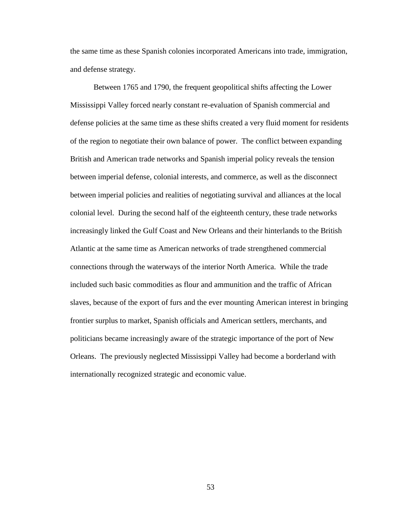the same time as these Spanish colonies incorporated Americans into trade, immigration, and defense strategy.

Between 1765 and 1790, the frequent geopolitical shifts affecting the Lower Mississippi Valley forced nearly constant re-evaluation of Spanish commercial and defense policies at the same time as these shifts created a very fluid moment for residents of the region to negotiate their own balance of power. The conflict between expanding British and American trade networks and Spanish imperial policy reveals the tension between imperial defense, colonial interests, and commerce, as well as the disconnect between imperial policies and realities of negotiating survival and alliances at the local colonial level. During the second half of the eighteenth century, these trade networks increasingly linked the Gulf Coast and New Orleans and their hinterlands to the British Atlantic at the same time as American networks of trade strengthened commercial connections through the waterways of the interior North America. While the trade included such basic commodities as flour and ammunition and the traffic of African slaves, because of the export of furs and the ever mounting American interest in bringing frontier surplus to market, Spanish officials and American settlers, merchants, and politicians became increasingly aware of the strategic importance of the port of New Orleans. The previously neglected Mississippi Valley had become a borderland with internationally recognized strategic and economic value.

53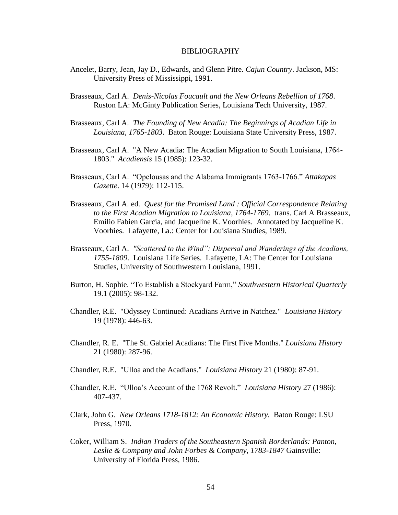#### BIBLIOGRAPHY

- Ancelet, Barry, Jean, Jay D., Edwards, and Glenn Pitre. *Cajun Country*. Jackson, MS: University Press of Mississippi, 1991.
- Brasseaux, Carl A. *Denis-Nicolas Foucault and the New Orleans Rebellion of 1768*. Ruston LA: McGinty Publication Series, Louisiana Tech University, 1987.
- Brasseaux, Carl A. *The Founding of New Acadia: The Beginnings of Acadian Life in Louisiana, 1765-1803*. Baton Rouge: Louisiana State University Press, 1987.
- Brasseaux, Carl A. "A New Acadia: The Acadian Migration to South Louisiana, 1764- 1803." *Acadiensis* 15 (1985): 123-32.
- Brasseaux, Carl A. "Opelousas and the Alabama Immigrants 1763-1766." *Attakapas Gazette*. 14 (1979): 112-115.
- Brasseaux, Carl A. ed. *Quest for the Promised Land : Official Correspondence Relating to the First Acadian Migration to Louisiana, 1764-1769*. trans. Carl A Brasseaux, Emilio Fabien Garcia, and Jacqueline K. Voorhies. Annotated by Jacqueline K. Voorhies. Lafayette, La.: Center for Louisiana Studies, 1989.
- Brasseaux, Carl A. *"Scattered to the Wind": Dispersal and Wanderings of the Acadians, 1755-1809*. Louisiana Life Series. Lafayette, LA: The Center for Louisiana Studies, University of Southwestern Louisiana, 1991.
- Burton, H. Sophie. "To Establish a Stockyard Farm," *Southwestern Historical Quarterly*  19.1 (2005): 98-132.
- Chandler, R.E. "Odyssey Continued: Acadians Arrive in Natchez." *Louisiana History* 19 (1978): 446-63.
- Chandler, R. E. "The St. Gabriel Acadians: The First Five Months." *Louisiana History* 21 (1980): 287-96.
- Chandler, R.E. "Ulloa and the Acadians." *Louisiana History* 21 (1980): 87-91.
- Chandler, R.E. "Ulloa"s Account of the 1768 Revolt." *Louisiana History* 27 (1986): 407-437.
- Clark, John G. *New Orleans 1718-1812: An Economic History.* Baton Rouge: LSU Press, 1970.
- Coker, William S. *Indian Traders of the Southeastern Spanish Borderlands: Panton, Leslie & Company and John Forbes & Company, 1783-1847* Gainsville: University of Florida Press, 1986.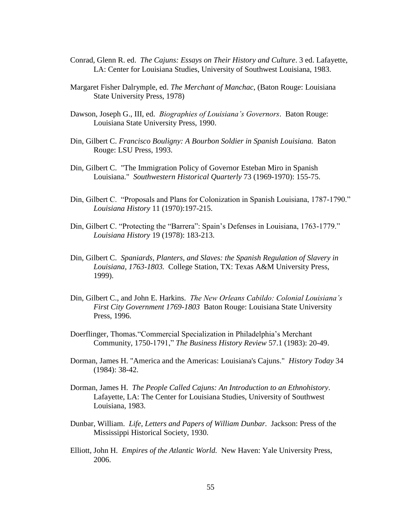- Conrad, Glenn R. ed. *The Cajuns: Essays on Their History and Culture*. 3 ed. Lafayette, LA: Center for Louisiana Studies, University of Southwest Louisiana, 1983.
- Margaret Fisher Dalrymple, ed. *The Merchant of Manchac*, (Baton Rouge: Louisiana State University Press, 1978)
- Dawson, Joseph G., III, ed. *Biographies of Louisiana's Governors*. Baton Rouge: Louisiana State University Press, 1990.
- Din, Gilbert C. *Francisco Bouligny: A Bourbon Soldier in Spanish Louisiana.* Baton Rouge: LSU Press, 1993.
- Din, Gilbert C. "The Immigration Policy of Governor Esteban Miro in Spanish Louisiana." *Southwestern Historical Quarterly* 73 (1969-1970): 155-75.
- Din, Gilbert C. "Proposals and Plans for Colonization in Spanish Louisiana, 1787-1790." *Louisiana History* 11 (1970):197-215.
- Din, Gilbert C. "Protecting the "Barrera": Spain"s Defenses in Louisiana, 1763-1779." *Louisiana History* 19 (1978): 183-213.
- Din, Gilbert C. *Spaniards, Planters, and Slaves: the Spanish Regulation of Slavery in Louisiana, 1763-1803.* College Station, TX: Texas A&M University Press, 1999).
- Din, Gilbert C., and John E. Harkins. *The New Orleans Cabildo: Colonial Louisiana's First City Government 1769-1803* Baton Rouge: Louisiana State University Press, 1996.
- Doerflinger, Thomas."Commercial Specialization in Philadelphia"s Merchant Community, 1750-1791," *The Business History Review* 57.1 (1983): 20-49.
- Dorman, James H. "America and the Americas: Louisiana's Cajuns." *History Today* 34 (1984): 38-42.
- Dorman, James H. *The People Called Cajuns: An Introduction to an Ethnohistory*. Lafayette, LA: The Center for Louisiana Studies, University of Southwest Louisiana, 1983.
- Dunbar, William. *Life, Letters and Papers of William Dunbar.* Jackson: Press of the Mississippi Historical Society, 1930.
- Elliott, John H. *Empires of the Atlantic World.* New Haven: Yale University Press, 2006.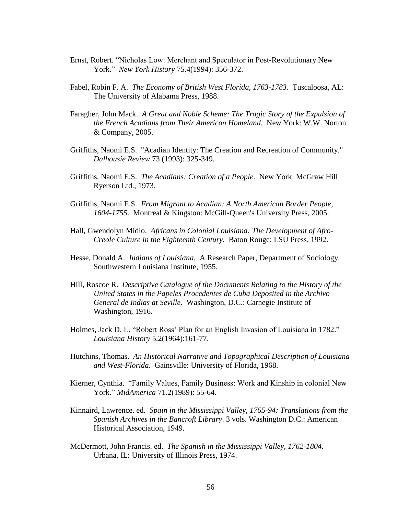- Ernst, Robert. "Nicholas Low: Merchant and Speculator in Post-Revolutionary New York." *New York History* 75.4(1994): 356-372.
- Fabel, Robin F. A. *The Economy of British West Florida, 1763-1783*. Tuscaloosa, AL: The University of Alabama Press, 1988.
- Faragher, John Mack. *A Great and Noble Scheme: The Tragic Story of the Expulsion of the French Acadians from Their American Homeland.* New York: W.W. Norton & Company, 2005.
- Griffiths, Naomi E.S. "Acadian Identity: The Creation and Recreation of Community." *Dalhousie Review* 73 (1993): 325-349.
- Griffiths, Naomi E.S. *The Acadians: Creation of a People*. New York: McGraw Hill Ryerson Ltd., 1973.
- Griffiths, Naomi E.S. *From Migrant to Acadian: A North American Border People, 1604-1755*. Montreal & Kingston: McGill-Queen's University Press, 2005.
- Hall, Gwendolyn Midlo. *Africans in Colonial Louisiana: The Development of Afro-Creole Culture in the Eighteenth Century.* Baton Rouge: LSU Press, 1992.
- Hesse, Donald A. *Indians of Louisiana*, A Research Paper, Department of Sociology. Southwestern Louisiana Institute, 1955.
- Hill, Roscoe R. *Descriptive Catalogue of the Documents Relating to the History of the United States in the Papeles Procedentes de Cuba Deposited in the Archivo General de Indias at Seville*. Washington, D.C.: Carnegie Institute of Washington, 1916.
- Holmes, Jack D. L. "Robert Ross" Plan for an English Invasion of Louisiana in 1782." *Louisiana History* 5.2(1964):161-77.
- Hutchins, Thomas. *An Historical Narrative and Topographical Description of Louisiana and West-Florida.* Gainsville: University of Florida, 1968.
- Kierner, Cynthia. "Family Values, Family Business: Work and Kinship in colonial New York." *MidAmerica* 71.2(1989): 55-64.
- Kinnaird, Lawrence. ed. *Spain in the Mississippi Valley, 1765-94: Translations from the Spanish Archives in the Bancroft Library*. 3 vols. Washington D.C.: American Historical Association, 1949.
- McDermott, John Francis. ed. *The Spanish in the Mississippi Valley, 1762-1804*. Urbana, IL: University of Illinois Press, 1974.